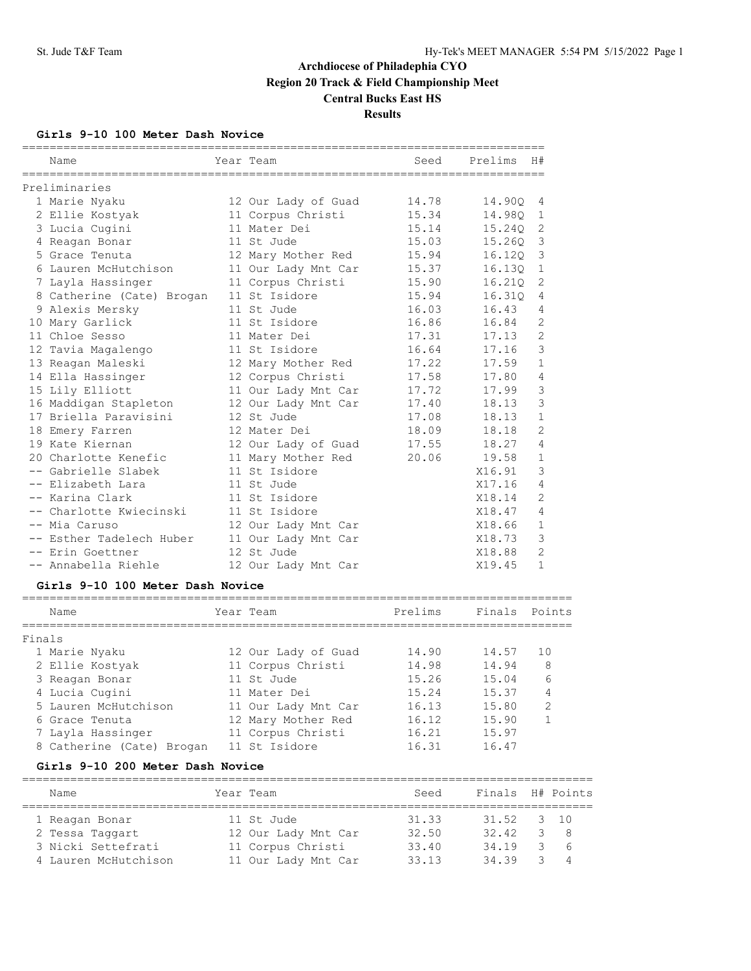### **Girls 9-10 100 Meter Dash Novice**

|        | Name                             | Year Team           | Seed                                       | Prelims | H#             |
|--------|----------------------------------|---------------------|--------------------------------------------|---------|----------------|
|        | Preliminaries                    |                     |                                            |         |                |
|        | 1 Marie Nyaku                    | 12 Our Lady of Guad | 14.78                                      | 14.90Q  | 4              |
|        | 2 Ellie Kostyak                  | 11 Corpus Christi   | 15.34                                      | 14.980  | $\mathbf{1}$   |
|        | 3 Lucia Cugini                   | 11 Mater Dei        | 15.14                                      | 15.24Q  | 2              |
|        | 4 Reagan Bonar                   | 11 St Jude          | 15.03                                      | 15.260  | 3              |
|        | 5 Grace Tenuta                   | 12 Mary Mother Red  | 15.94                                      | 16.120  | 3              |
|        | 6 Lauren McHutchison             | 11 Our Lady Mnt Car | 15.37                                      | 16.130  | $\mathbf{1}$   |
|        | 7 Layla Hassinger                | 11 Corpus Christi   | 15.90                                      | 16.21Q  | 2              |
|        | 8 Catherine (Cate) Brogan        | 11 St Isidore       | 15.94                                      | 16.31Q  | 4              |
|        | 9 Alexis Mersky                  | 11 St Jude          | 16.03                                      | 16.43   | 4              |
|        | 10 Mary Garlick                  | 11 St Isidore       | 16.86                                      | 16.84   | $\overline{2}$ |
|        | 11 Chloe Sesso                   | 11 Mater Dei        | 17.31                                      | 17.13   | $\overline{2}$ |
|        | 12 Tavia Magalengo               | 11 St Isidore       | 16.64                                      | 17.16   | 3              |
|        | 13 Reagan Maleski                | 12 Mary Mother Red  | 17.22                                      | 17.59   | $\mathbf{1}$   |
|        | 14 Ella Hassinger                | 12 Corpus Christi   | 17.58                                      | 17.80   | 4              |
|        | 15 Lily Elliott                  | 11 Our Lady Mnt Car | 17.72                                      | 17.99   | 3              |
|        | 16 Maddigan Stapleton            | 12 Our Lady Mnt Car | 17.40                                      | 18.13   | 3              |
|        | 17 Briella Paravisini            | 12 St Jude          | 17.08                                      | 18.13   | $\mathbf{1}$   |
|        | 18 Emery Farren                  | 12 Mater Dei        | 18.09                                      | 18.18   | $\overline{2}$ |
|        | 19 Kate Kiernan                  | 12 Our Lady of Guad | 17.55                                      | 18.27   | $\overline{4}$ |
|        | 20 Charlotte Kenefic             | 11 Mary Mother Red  | 20.06                                      | 19.58   | $\mathbf{1}$   |
|        | -- Gabrielle Slabek              | 11 St Isidore       |                                            | X16.91  | 3              |
|        | -- Elizabeth Lara                | 11 St Jude          |                                            | X17.16  | 4              |
|        | -- Karina Clark                  | 11 St Isidore       |                                            | X18.14  | $\overline{2}$ |
|        | -- Charlotte Kwiecinski          | 11 St Isidore       |                                            | X18.47  | $\overline{4}$ |
|        | -- Mia Caruso                    | 12 Our Lady Mnt Car |                                            | X18.66  | $\mathbf{1}$   |
|        | -- Esther Tadelech Huber         | 11 Our Lady Mnt Car |                                            | X18.73  | 3              |
|        | -- Erin Goettner                 | 12 St Jude          |                                            | X18.88  | $\overline{2}$ |
|        | -- Annabella Riehle              | 12 Our Lady Mnt Car |                                            | X19.45  | $\mathbf{1}$   |
|        | Girls 9-10 100 Meter Dash Novice |                     |                                            |         |                |
|        | Name                             | Year Team           | ===============================<br>Prelims | Finals  | Points         |
|        |                                  | =============       |                                            |         |                |
| Finals |                                  |                     |                                            |         |                |
|        | 1 Marie Nyaku                    | 12 Our Lady of Guad | 14.90                                      | 14.57   | 10             |
|        | 2 Ellie Kostyak                  | 11 Corpus Christi   | 14.98                                      | 14.94   | 8              |
|        | 3 Reagan Bonar                   | 11 St Jude          | 15.26                                      | 15.04   | 6              |
|        | 4 Lucia Cugini                   | 11 Mater Dei        | 15.24                                      | 15.37   | 4              |
|        | 5 Lauren McHutchison             | 11 Our Lady Mnt Car | 16.13                                      | 15.80   | $\overline{2}$ |
|        | 6 Grace Tenuta                   | 12 Mary Mother Red  | 16.12                                      | 15.90   | $\mathbf{1}$   |

#### **Girls 9-10 200 Meter Dash Novice**

| Name                 | Year Team           | Seed  | Finals H# Points |    |              |
|----------------------|---------------------|-------|------------------|----|--------------|
| 1 Reagan Bonar       | 11 St Jude          | 31.33 | 31.52            |    | $3 \quad 10$ |
| 2 Tessa Taggart      | 12 Our Lady Mnt Car | 32.50 | 32.42            | २  | -8           |
| 3 Nicki Settefrati   | 11 Corpus Christi   | 33.40 | 34.19            | 3. | -6           |
| 4 Lauren McHutchison | 11 Our Lady Mnt Car | 33.13 | 34 39            | २  | 4            |

 7 Layla Hassinger 11 Corpus Christi 16.21 15.97 8 Catherine (Cate) Brogan 11 St Isidore 16.31 16.47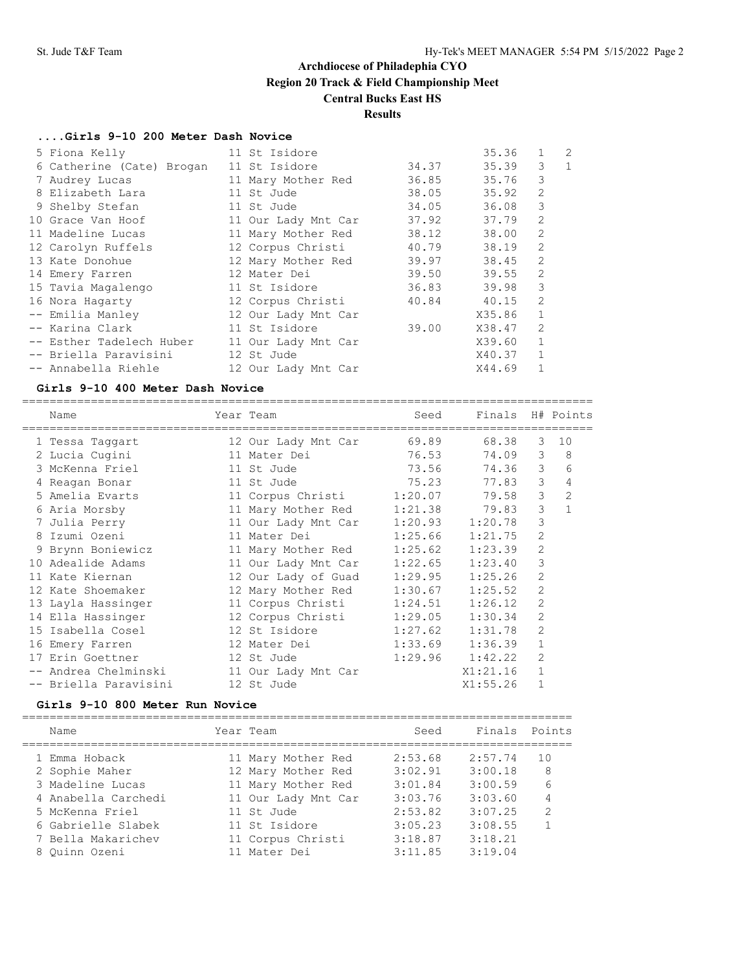### **Results**

#### **....Girls 9-10 200 Meter Dash Novice**

| 5 Fiona Kelly             | 11 St Isidore       |       | 35.36          | $\mathbf{1}$   | $\overline{2}$ |
|---------------------------|---------------------|-------|----------------|----------------|----------------|
| 6 Catherine (Cate) Brogan | 11 St Isidore       |       | 35.39<br>34.37 | 3              | $\mathbf{1}$   |
| 7 Audrey Lucas            | 11 Mary Mother Red  |       | 36.85 35.76    | 3              |                |
| 8 Elizabeth Lara          | 11 St Jude          |       | 38.05 35.92    | 2              |                |
| 9 Shelby Stefan           | 11 St Jude          |       | 36.08<br>34.05 | 3              |                |
| 10 Grace Van Hoof         | 11 Our Lady Mnt Car |       | 37.92<br>37.79 | $\overline{2}$ |                |
| 11 Madeline Lucas         | 11 Mary Mother Red  |       | 38.12<br>38.00 | 2              |                |
| 12 Carolyn Ruffels        | 12 Corpus Christi   |       | 40.79<br>38.19 | 2              |                |
| 13 Kate Donohue           | 12 Mary Mother Red  |       | 39.97<br>38.45 | 2              |                |
| 14 Emery Farren           | 12 Mater Dei        |       | 39.50<br>39.55 | $\overline{2}$ |                |
| 15 Tavia Magalengo        | 11 St Isidore       |       | 36.83<br>39.98 | 3              |                |
| 16 Nora Hagarty           | 12 Corpus Christi   |       | 40.84<br>40.15 | 2              |                |
| -- Emilia Manley          | 12 Our Lady Mnt Car |       | X35.86         | $\mathbf{1}$   |                |
| -- Karina Clark           | 11 St Isidore       | 39.00 | X38.47         | 2              |                |
| -- Esther Tadelech Huber  | 11 Our Lady Mnt Car |       | X39.60         |                |                |
| -- Briella Paravisini     | 12 St Jude          |       | X40.37         | $\mathbf{1}$   |                |
| -- Annabella Riehle       | 12 Our Lady Mnt Car |       | X44.69         |                |                |
|                           |                     |       |                |                |                |

#### **Girls 9-10 400 Meter Dash Novice**

=================================================================================== Name Year Team Seed Finals H# Points =================================================================================== 1 Tessa Taggart 12 Our Lady Mnt Car 69.89 68.38 3 10 2 Lucia Cugini 11 Mater Dei 76.53 74.09 3 8 3 McKenna Friel 11 St Jude 73.56 74.36 3 6 4 Reagan Bonar 11 St Jude 75.23 77.83 3 4 5 Amelia Evarts 11 Corpus Christi 1:20.07 79.58 3 2 6 Aria Morsby 11 Mary Mother Red 1:21.38 79.83 3 1 7 Julia Perry 11 Our Lady Mnt Car 1:20.93 1:20.78 3 8 Izumi Ozeni 11 Mater Dei 1:25.66 1:21.75 2 9 Brynn Boniewicz 11 Mary Mother Red 1:25.62 1:23.39 2 10 Adealide Adams 11 Our Lady Mnt Car 1:22.65 1:23.40 3 11 Kate Kiernan 12 Our Lady of Guad 1:29.95 1:25.26 2 12 Kate Shoemaker 12 Mary Mother Red 1:30.67 1:25.52 2 13 Layla Hassinger 11 Corpus Christi 1:24.51 1:26.12 2 14 Ella Hassinger 12 Corpus Christi 1:29.05 1:30.34 2 15 Isabella Cosel 12 St Isidore 1:27.62 1:31.78 2 16 Emery Farren 12 Mater Dei 1:33.69 1:36.39 1 17 Erin Goettner 12 St Jude 1:29.96 1:42.22 2 -- Andrea Chelminski 11 Our Lady Mnt Car X1:21.16 1 -- Briella Paravisini 12 St Jude X1:55.26 1

#### **Girls 9-10 800 Meter Run Novice**

================================================================================

| Name                | Year Team           | Seed    | Finals Points |               |
|---------------------|---------------------|---------|---------------|---------------|
| 1 Emma Hoback       | 11 Mary Mother Red  | 2:53.68 | 2:57.74       | 10            |
| 2 Sophie Maher      | 12 Mary Mother Red  | 3:02.91 | 3:00.18       | 8             |
| 3 Madeline Lucas    | 11 Mary Mother Red  | 3:01.84 | 3:00.59       | 6             |
| 4 Anabella Carchedi | 11 Our Lady Mnt Car | 3:03.76 | 3:03.60       | 4             |
| 5 McKenna Friel     | 11 St. Jude         | 2:53.82 | 3:07.25       | $\mathcal{D}$ |
| 6 Gabrielle Slabek  | 11 St Isidore       | 3:05.23 | 3:08.55       | 1             |
| 7 Bella Makarichev  | 11 Corpus Christi   | 3:18.87 | 3:18.21       |               |
| 8 Ouinn Ozeni       | 11 Mater Dei        | 3:11.85 | 3:19.04       |               |
|                     |                     |         |               |               |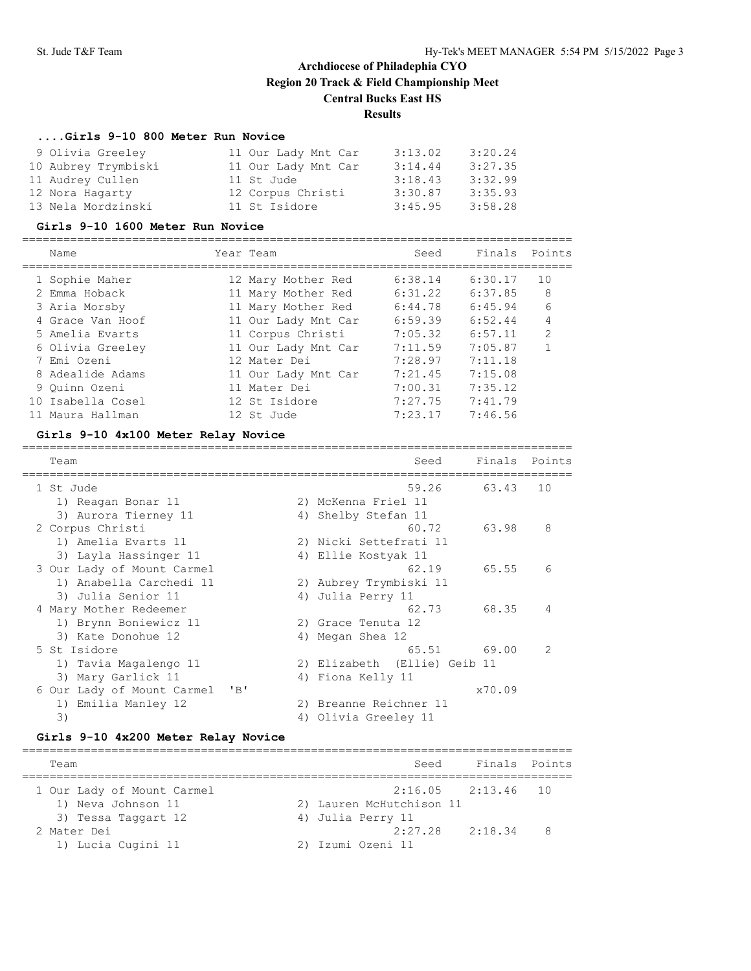## **....Girls 9-10 800 Meter Run Novice**

| 9 Olivia Greeley    | 11 Our Lady Mnt Car | 3:13.02 | 3:20.24 |
|---------------------|---------------------|---------|---------|
| 10 Aubrey Trymbiski | 11 Our Lady Mnt Car | 3:14.44 | 3:27.35 |
| 11 Audrey Cullen    | 11 St Jude          | 3:18.43 | 3:32.99 |
| 12 Nora Hagarty     | 12 Corpus Christi   | 3:30.87 | 3:35.93 |
| 13 Nela Mordzinski  | 11 St Isidore       | 3:45.95 | 3:58.28 |

#### **Girls 9-10 1600 Meter Run Novice**

| Name              | Year Team           | Seed    | Finals  | Points         |
|-------------------|---------------------|---------|---------|----------------|
| 1 Sophie Maher    | 12 Mary Mother Red  | 6:38.14 | 6:30.17 | 1 O            |
| 2 Emma Hoback     | 11 Mary Mother Red  | 6:31.22 | 6:37.85 | 8              |
| 3 Aria Morsby     | 11 Mary Mother Red  | 6:44.78 | 6:45.94 | 6              |
| 4 Grace Van Hoof  | 11 Our Lady Mnt Car | 6:59.39 | 6:52.44 | 4              |
| 5 Amelia Evarts   | 11 Corpus Christi   | 7:05.32 | 6:57.11 | $\mathfrak{D}$ |
| 6 Olivia Greeley  | 11 Our Lady Mnt Car | 7:11.59 | 7:05.87 |                |
| 7 Emi Ozeni       | 12 Mater Dei        | 7:28.97 | 7:11.18 |                |
| 8 Adealide Adams  | 11 Our Lady Mnt Car | 7:21.45 | 7:15.08 |                |
| 9 Ouinn Ozeni     | 11 Mater Dei        | 7:00.31 | 7:35.12 |                |
| 10 Isabella Cosel | 12 St Isidore       | 7:27.75 | 7:41.79 |                |
| Maura Hallman     | 12 St. Jude         | 7:23.17 | 7:46.56 |                |
|                   |                     |         |         |                |

### **Girls 9-10 4x100 Meter Relay Novice**

| Team                                    |    | Seed                         | Finals | Points        |
|-----------------------------------------|----|------------------------------|--------|---------------|
| 1 St. Jude                              |    | 59.26                        | 63.43  | 10            |
| 1) Reagan Bonar 11                      |    | 2) McKenna Friel 11          |        |               |
| 3) Aurora Tierney 11                    |    | 4) Shelby Stefan 11          |        |               |
| 2 Corpus Christi                        |    | 60.72                        | 63.98  | 8             |
| 1) Amelia Evarts 11                     |    | 2) Nicki Settefrati 11       |        |               |
| 3) Layla Hassinger 11                   | 4) | Ellie Kostyak 11             |        |               |
| 3 Our Lady of Mount Carmel              |    | 62.19                        | 65.55  | 6             |
| 1) Anabella Carchedi 11                 |    | 2) Aubrey Trymbiski 11       |        |               |
| 3) Julia Senior 11                      | 4) | Julia Perry 11               |        |               |
| 4 Mary Mother Redeemer                  |    | 62.73                        | 68.35  | 4             |
| 1) Brynn Boniewicz 11                   |    | 2) Grace Tenuta 12           |        |               |
| 3) Kate Donohue 12                      | 4) | Megan Shea 12                |        |               |
| 5 St Isidore                            |    | 65.51                        | 69.00  | $\mathcal{P}$ |
| 1) Tavia Magalengo 11                   |    | 2) Elizabeth (Ellie) Geib 11 |        |               |
| 3) Mary Garlick 11                      | 4) | Fiona Kelly 11               |        |               |
| $'$ B $'$<br>6 Our Lady of Mount Carmel |    |                              | x70.09 |               |
| Emilia Manley 12<br>1)                  | 2) | Breanne Reichner 11          |        |               |
| 3)                                      | 4) | Olivia Greeley 11            |        |               |

### **Girls 9-10 4x200 Meter Relay Novice**

| Team                       | Finals Points<br>Seed      |
|----------------------------|----------------------------|
| 1 Our Lady of Mount Carmel | $2:16.05$ $2:13.46$ 10     |
| 1) Neva Johnson 11         | 2) Lauren McHutchison 11   |
| 3) Tessa Taggart 12        | 4) Julia Perry 11          |
| 2 Mater Dei                | $2:27.28$ $2:18.34$<br>- 8 |
| 1) Lucia Cugini 11         | 2) Izumi Ozeni 11          |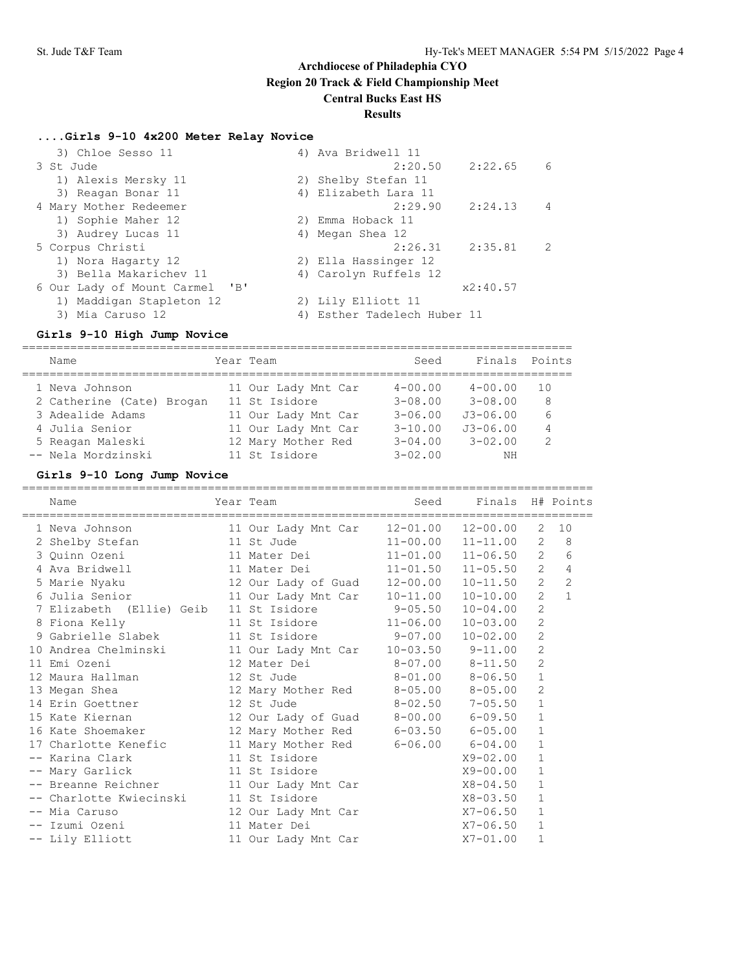## **Results**

## **....Girls 9-10 4x200 Meter Relay Novice**

| 4) Ava Bridwell 11          |
|-----------------------------|
| 2:22.65<br>2:20.50<br>6     |
| 2) Shelby Stefan 11         |
| 4) Elizabeth Lara 11        |
| 2:29.90<br>2:24.13<br>4     |
| 2) Emma Hoback 11           |
| 4) Megan Shea 12            |
| $2:26.31$ $2:35.81$<br>2    |
| 2) Ella Hassinger 12        |
| 4) Carolyn Ruffels 12       |
| x2:40.57                    |
| 2) Lily Elliott 11          |
| 4) Esther Tadelech Huber 11 |
|                             |

### **Girls 9-10 High Jump Novice**

================================================================================ Name Year Team Seed Finals Points

| Name                      | Year Team           | Seed        |              | Finals Points |
|---------------------------|---------------------|-------------|--------------|---------------|
| 1 Neva Johnson            | 11 Our Lady Mnt Car | $4 - 00.00$ | $4 - 00.00$  | 10            |
| 2 Catherine (Cate) Brogan | 11 St Isidore       | $3 - 08.00$ | $3 - 08.00$  | 8             |
| 3 Adealide Adams          | 11 Our Lady Mnt Car | $3 - 06.00$ | $J3 - 06.00$ | 6             |
| 4 Julia Senior            | 11 Our Lady Mnt Car | $3 - 10.00$ | $J3 - 06.00$ | 4             |
| 5 Reagan Maleski          | 12 Mary Mother Red  | $3 - 04.00$ | $3 - 02.00$  | $\mathcal{L}$ |
| -- Nela Mordzinski        | 11 St Isidore       | $3 - 02.00$ | NΗ           |               |
|                           |                     |             |              |               |

### **Girls 9-10 Long Jump Novice**

| Name                                                                          | Year Team                           |                         | Seed Finals H# Points |                |                |
|-------------------------------------------------------------------------------|-------------------------------------|-------------------------|-----------------------|----------------|----------------|
| 1 Neva Johnson                                                                |                                     |                         |                       | 2              | 10             |
| 2 Shelby Stefan               11 St Jude             11-00.00   11-11.00      |                                     |                         |                       | 2              | $\,8\,$        |
| 3 Quinn Ozeni 11 Mater Dei 11-01.00 11-06.50                                  |                                     |                         |                       | $\mathbf{2}$   | 6              |
| 4 Ava Bridwell                 11 Mater Dei             11-01.50     11-05.50 |                                     |                         |                       | $\overline{2}$ | $\overline{4}$ |
| 5 Marie Nyaku 12 Our Lady of Guad 12-00.00                                    |                                     |                         | $10 - 11.50$          | $\overline{c}$ | $\overline{c}$ |
| 6 Julia Senior 11 Our Lady Mnt Car 10-11.00 10-10.00                          |                                     |                         |                       | $\overline{2}$ | $\mathbf{1}$   |
| 7 Elizabeth (Ellie) Geib 11 St Isidore 9-05.50                                |                                     |                         | $10 - 04.00$          | $\mathbf{2}$   |                |
| 8 Fiona Kelly                                                                 | 11 St Isidore 11-06.00              |                         | $10 - 03.00$          | $\mathbf{2}$   |                |
| 9 Gabrielle Slabek 11 St Isidore 9-07.00 10-02.00                             |                                     |                         |                       | $\mathbf{2}$   |                |
| 10 Andrea Chelminski 11 Our Lady Mnt Car 10-03.50 9-11.00                     |                                     |                         |                       | $\mathbf{2}$   |                |
| 11 Emi Ozeni                                                                  | 12 Mater Dei 8-07.00 8-11.50        |                         |                       | $\overline{2}$ |                |
| 12 Maura Hallman $12$ St Jude $8-01.00$ $8-06.50$                             |                                     |                         |                       | $\mathbf 1$    |                |
| 13 Megan Shea                                                                 | 12 Mary Mother Red 8-05.00 8-05.00  |                         |                       | $\overline{c}$ |                |
| 14 Erin Goettner 12 St Jude                                                   |                                     | $8 - 02.50$ $7 - 05.50$ |                       | $\mathbf{1}$   |                |
| 15 Kate Kiernan                                                               | 12 Our Lady of Guad 8-00.00 6-09.50 |                         |                       | $\mathbf 1$    |                |
| 16 Kate Shoemaker 12 Mary Mother Red 6-03.50 6-05.00                          |                                     |                         |                       | $\mathbf{1}$   |                |
| 17 Charlotte Kenefic 11 Mary Mother Red 6-06.00 6-04.00                       |                                     |                         |                       | $\mathbf{1}$   |                |
| -- Karina Clark 11 St Isidore                                                 |                                     |                         | $X9 - 02.00$          | $\mathbf 1$    |                |
| -- Mary Garlick                                                               | 11 St Isidore                       |                         | X9-00.00              | $\mathbf{1}$   |                |
| -- Breanne Reichner 11 Our Lady Mnt Car X8-04.50                              |                                     |                         |                       | $\mathbf{1}$   |                |
| -- Charlotte Kwiecinski 11 St Isidore                                         |                                     |                         | X8-03.50              | $\mathbf{1}$   |                |
| -- Mia Caruso                                                                 | 12 Our Lady Mnt Car                 |                         | $X7 - 06.50$          | $\mathbf{1}$   |                |
| -- Izumi Ozeni                                                                | 11 Mater Dei                        |                         | X7-06.50              | $\mathbf{1}$   |                |
| -- Lily Elliott                                                               | 11 Our Lady Mnt Car                 |                         | $X7 - 01.00$          | $\mathbf 1$    |                |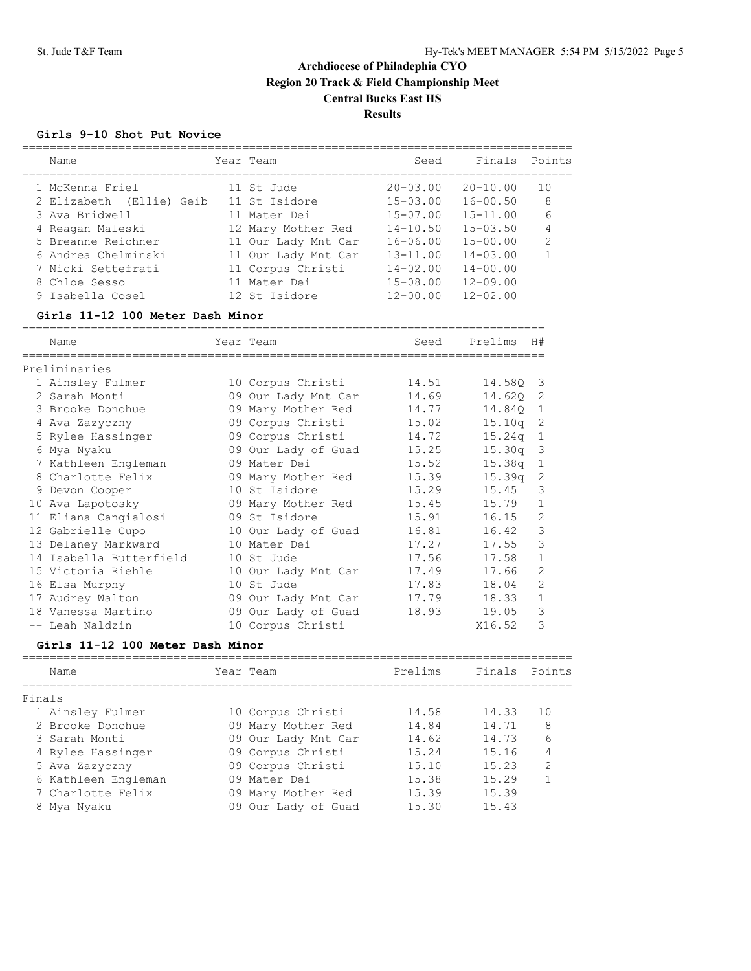### **Girls 9-10 Shot Put Novice**

| Name                     | Year Team           | Seed         | Finals       | Points         |
|--------------------------|---------------------|--------------|--------------|----------------|
| 1 McKenna Friel          | 11 St. Jude         | $20 - 03.00$ | $20 - 10.00$ | 10             |
| 2 Elizabeth (Ellie) Geib | 11 St Isidore       | $15 - 03.00$ | $16 - 00.50$ | 8              |
| 3 Ava Bridwell           | 11 Mater Dei        | $15 - 07.00$ | $15 - 11.00$ | 6              |
| 4 Reagan Maleski         | 12 Mary Mother Red  | $14 - 10.50$ | $15 - 03.50$ | $\overline{4}$ |
| 5 Breanne Reichner       | 11 Our Lady Mnt Car | $16 - 06.00$ | $15 - 00.00$ | $\mathcal{D}$  |
| 6 Andrea Chelminski      | 11 Our Lady Mnt Car | $13 - 11.00$ | $14 - 03.00$ |                |
| 7 Nicki Settefrati       | 11 Corpus Christi   | $14 - 02.00$ | $14 - 00.00$ |                |
| 8 Chloe Sesso            | 11 Mater Dei        | $15 - 08.00$ | $12 - 09.00$ |                |
| 9 Isabella Cosel         | 12 St Isidore       | $12 - 00.00$ | $12 - 02.00$ |                |
|                          |                     |              |              |                |

### **Girls 11-12 100 Meter Dash Minor**

| Name                    |    | Year Team           | Seed  | Prelims | H#             |
|-------------------------|----|---------------------|-------|---------|----------------|
|                         |    |                     |       |         |                |
| Preliminaries           |    |                     |       |         |                |
| 1 Ainsley Fulmer        |    | 10 Corpus Christi   | 14.51 | 14.580  | 3              |
| 2 Sarah Monti           |    | 09 Our Lady Mnt Car | 14.69 | 14.620  | 2              |
| 3 Brooke Donohue        | 09 | Mary Mother Red     | 14.77 | 14.840  | $\mathbf{1}$   |
| 4 Ava Zazyczny          |    | 09 Corpus Christi   | 15.02 | 15.10q  | 2              |
| 5 Rylee Hassinger       |    | 09 Corpus Christi   | 14.72 | 15.24q  | 1              |
| 6 Mya Nyaku             |    | 09 Our Lady of Guad | 15.25 | 15.30q  | 3              |
| 7 Kathleen Engleman     |    | 09 Mater Dei        | 15.52 | 15.38q  | 1              |
| 8 Charlotte Felix       |    | 09 Mary Mother Red  | 15.39 | 15.39q  | 2              |
| 9 Devon Cooper          |    | 10 St Isidore       | 15.29 | 15.45   | 3              |
| 10 Ava Lapotosky        |    | 09 Mary Mother Red  | 15.45 | 15.79   | 1              |
| 11 Eliana Cangialosi    |    | 09 St Isidore       | 15.91 | 16.15   | $\overline{2}$ |
| 12 Gabrielle Cupo       |    | 10 Our Lady of Guad | 16.81 | 16.42   | 3              |
| 13 Delaney Markward     |    | 10 Mater Dei        | 17.27 | 17.55   | 3              |
| 14 Isabella Butterfield |    | 10 St Jude          | 17.56 | 17.58   |                |
| 15 Victoria Riehle      |    | 10 Our Lady Mnt Car | 17.49 | 17.66   | $\overline{2}$ |
| 16 Elsa Murphy          |    | 10 St Jude          | 17.83 | 18.04   | $\mathfrak{D}$ |
| 17 Audrey Walton        |    | 09 Our Lady Mnt Car | 17.79 | 18.33   | 1              |
| 18 Vanessa Martino      |    | 09 Our Lady of Guad | 18.93 | 19.05   | 3              |
| -- Leah Naldzin         |    | 10 Corpus Christi   |       | X16.52  | 3              |

### **Girls 11-12 100 Meter Dash Minor**

| Name                | Year Team           | Prelims | Finals Points |                |
|---------------------|---------------------|---------|---------------|----------------|
| Finals              |                     |         |               |                |
| 1 Ainsley Fulmer    | 10 Corpus Christi   | 14.58   | 14.33         | 10             |
| 2 Brooke Donohue    | 09 Mary Mother Red  | 14.84   | 14.71         | 8              |
| 3 Sarah Monti       | 09 Our Lady Mnt Car | 14.62   | 14.73         | 6              |
| 4 Rylee Hassinger   | 09 Corpus Christi   | 15.24   | 15.16         | 4              |
| 5 Ava Zazyczny      | 09 Corpus Christi   | 15.10   | 15.23         | $\mathfrak{D}$ |
| 6 Kathleen Engleman | 09 Mater Dei        | 15.38   | 15.29         |                |
| 7 Charlotte Felix   | 09 Mary Mother Red  | 15.39   | 15.39         |                |
| 8 Mya Nyaku         | 09 Our Lady of Guad | 15.30   | 15.43         |                |
|                     |                     |         |               |                |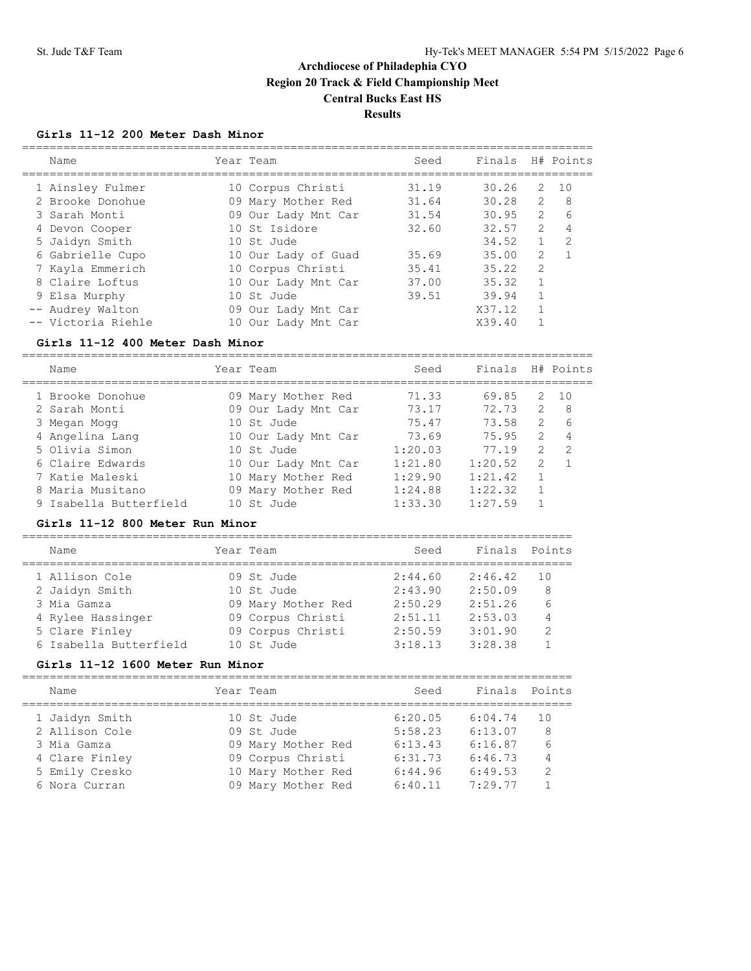### **Girls 11-12 200 Meter Dash Minor**

| Name               | Year Team           | Seed  | Finals |                | H# Points     |
|--------------------|---------------------|-------|--------|----------------|---------------|
| 1 Ainsley Fulmer   | 10 Corpus Christi   | 31.19 | 30.26  | 2              | 1 O           |
| 2 Brooke Donohue   | 09 Mary Mother Red  | 31.64 | 30.28  | $\mathcal{P}$  | 8             |
| 3 Sarah Monti      | 09 Our Lady Mnt Car | 31.54 | 30.95  | $\mathcal{L}$  | 6             |
| 4 Devon Cooper     | 10 St Isidore       | 32.60 | 32.57  | $\overline{2}$ | 4             |
| 5 Jaidyn Smith     | 10 St. Jude         |       | 34.52  |                | $\mathcal{L}$ |
| 6 Gabrielle Cupo   | 10 Our Lady of Guad | 35.69 | 35.00  | $\mathcal{L}$  |               |
| 7 Kayla Emmerich   | 10 Corpus Christi   | 35.41 | 35.22  | $\mathcal{P}$  |               |
| 8 Claire Loftus    | 10 Our Lady Mnt Car | 37.00 | 35.32  |                |               |
| 9 Elsa Murphy      | 10 St Jude          | 39.51 | 39.94  |                |               |
| -- Audrey Walton   | 09 Our Lady Mnt Car |       | X37.12 | 1              |               |
| -- Victoria Riehle | 10 Our Lady Mnt Car |       | X39.40 |                |               |

### **Girls 11-12 400 Meter Dash Minor**

===================================================================================

| Name                   | Year Team           | Seed    | Finals H# Points |               |    |
|------------------------|---------------------|---------|------------------|---------------|----|
| 1 Brooke Donohue       | 09 Mary Mother Red  | 71.33   | 69.85            | 2             | 10 |
| 2 Sarah Monti          | 09 Our Lady Mnt Car | 73.17   | 72.73            | 2             | 8  |
| 3 Megan Mogg           | 10 St Jude          | 75.47   | 73.58            | $\mathcal{P}$ | 6  |
| 4 Angelina Lang        | 10 Our Lady Mnt Car | 73.69   | 75.95            | $\mathcal{L}$ | 4  |
| 5 Olivia Simon         | 10 St. Jude         | 1:20.03 | 77.19            | $\mathcal{L}$ | -2 |
| 6 Claire Edwards       | 10 Our Lady Mnt Car | 1:21.80 | 1:20.52          | $\mathcal{L}$ |    |
| 7 Katie Maleski        | 10 Mary Mother Red  | 1:29.90 | 1:21.42          |               |    |
| 8 Maria Musitano       | 09 Mary Mother Red  | 1:24.88 | 1:22.32          |               |    |
| 9 Isabella Butterfield | 10 St. Jude         | 1:33.30 | 1:27.59          |               |    |

#### **Girls 11-12 800 Meter Run Minor**

| Name                   | Year Team          | Seed    | Finals Points |               |
|------------------------|--------------------|---------|---------------|---------------|
| 1 Allison Cole         | 09 St. Jude        | 2:44.60 | 2:46.42       | 1 N           |
| 2 Jaidyn Smith         | 10 St. Jude        | 2:43.90 | 2:50.09       | 8             |
| 3 Mia Gamza            | 09 Mary Mother Red | 2:50.29 | 2:51.26       | 6             |
| 4 Rylee Hassinger      | 09 Corpus Christi  | 2:51.11 | 2:53.03       | 4             |
| 5 Clare Finley         | 09 Corpus Christi  | 2:50.59 | 3:01.90       | $\mathcal{P}$ |
| 6 Isabella Butterfield | 10 St. Jude        | 3:18.13 | 3:28.38       |               |
|                        |                    |         |               |               |

### **Girls 11-12 1600 Meter Run Minor**

| Name           | Year Team          | Seed    | Finals Points |               |
|----------------|--------------------|---------|---------------|---------------|
| 1 Jaidyn Smith | 10 St Jude         | 6:20.05 | 6:04.74       | 1 N           |
| 2 Allison Cole | 09 St. Jude        | 5:58.23 | 6:13.07       | 8             |
| 3 Mia Gamza    | 09 Mary Mother Red | 6:13.43 | 6:16.87       | 6             |
| 4 Clare Finley | 09 Corpus Christi  | 6:31.73 | 6:46.73       | 4             |
| 5 Emily Cresko | 10 Mary Mother Red | 6:44.96 | 6:49.53       | $\mathcal{P}$ |
| 6 Nora Curran  | 09 Mary Mother Red | 6:40.11 | 7:29.77       |               |
|                |                    |         |               |               |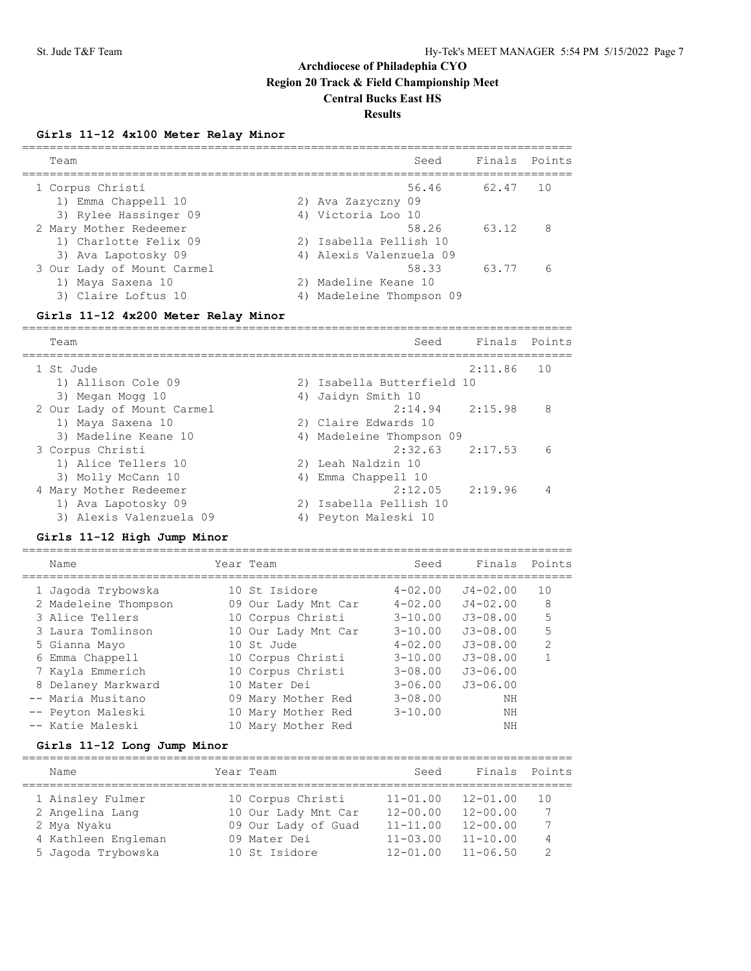#### **Girls 11-12 4x100 Meter Relay Minor**

| Team                                         |                                                   | Seed  | Finals Points |    |
|----------------------------------------------|---------------------------------------------------|-------|---------------|----|
| 1 Corpus Christi<br>1) Emma Chappell 10      | 2) Ava Zazyczny 09                                | 56.46 | 62.47         | 10 |
| 3) Rylee Hassinger 09                        | 4) Victoria Loo 10                                |       |               |    |
| 2 Mary Mother Redeemer                       |                                                   | 58.26 | 63.12         | -8 |
| 1) Charlotte Felix 09<br>3) Ava Lapotosky 09 | 2) Isabella Pellish 10<br>4) Alexis Valenzuela 09 |       |               |    |
| 3 Our Lady of Mount Carmel                   |                                                   | 58.33 | 63.77         | 6  |
| 1) Maya Saxena 10                            | 2) Madeline Keane 10                              |       |               |    |
| 3) Claire Loftus 10                          | 4) Madeleine Thompson 09                          |       |               |    |

#### **Girls 11-12 4x200 Meter Relay Minor**

================================================================================ Team Seed Finals Points ================================================================================ 1 St Jude 2:11.86 10 1) Allison Cole 09 2) Isabella Butterfield 10 3) Megan Mogg 10 4) Jaidyn Smith 10 2 Our Lady of Mount Carmel 2:14.94 2:15.98 8 1) Maya Saxena 10 2) Claire Edwards 10 3) Madeline Keane 10 4) Madeleine Thompson 09 3 Corpus Christi 2:32.63 2:17.53 6 1) Alice Tellers 10 2) Leah Naldzin 10 3) Molly McCann 10 4) Emma Chappell 10 4 Mary Mother Redeemer 2:12.05 2:19.96 4 1) Ava Lapotosky 09 2) Isabella Pellish 10 3) Alexis Valenzuela 09 4) Peyton Maleski 10

#### **Girls 11-12 High Jump Minor**

================================================================================ Name Tear Team Seed Finals Points Name ================================================================================ 1 Jagoda Trybowska 10 St Isidore 4-02.00 J4-02.00 10 2 Madeleine Thompson 09 Our Lady Mnt Car 4-02.00 J4-02.00 8 3 Alice Tellers 10 Corpus Christi 3-10.00 J3-08.00 5 3 Laura Tomlinson 10 Our Lady Mnt Car 3-10.00 J3-08.00 5 5 Gianna Mayo 10 St Jude 4-02.00 J3-08.00 2 6 Emma Chappell 10 Corpus Christi 3-10.00 J3-08.00 1 7 Kayla Emmerich 10 Corpus Christi 3-08.00 J3-06.00 8 Delaney Markward 10 Mater Dei 3-06.00 J3-06.00 -- Maria Musitano 09 Mary Mother Red 3-08.00 NH -- Peyton Maleski 10 Mary Mother Red 3-10.00 NH -- Katie Maleski 10 Mary Mother Red NH

#### **Girls 11-12 Long Jump Minor**

| Name                | Year Team           | Seed         | Finals Points |               |
|---------------------|---------------------|--------------|---------------|---------------|
| 1 Ainsley Fulmer    | 10 Corpus Christi   | $11 - 01.00$ | $12 - 01.00$  | 1 N           |
| 2 Angelina Lang     | 10 Our Lady Mnt Car | $12 - 00.00$ | $12 - 00.00$  | 7             |
| 2 Mya Nyaku         | 09 Our Lady of Guad | $11 - 11.00$ | $12 - 00.00$  | 7             |
| 4 Kathleen Engleman | 09 Mater Dei        | $11 - 03.00$ | $11 - 10.00$  | 4             |
| 5 Jaqoda Trybowska  | 10 St Isidore       | $12 - 01.00$ | $11 - 06.50$  | $\mathcal{D}$ |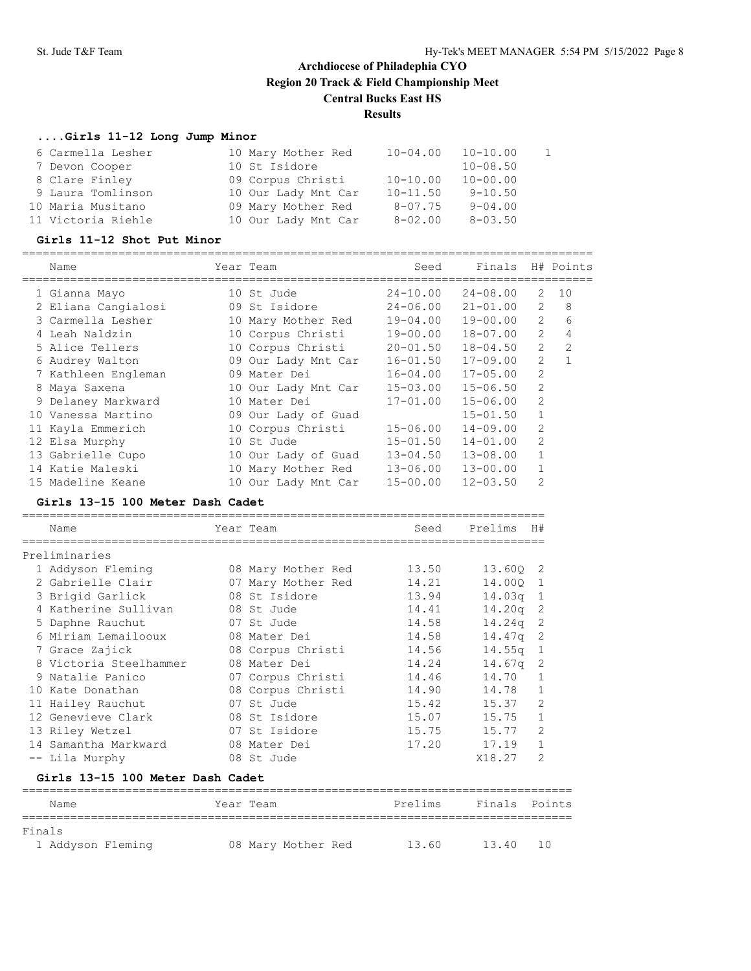#### **....Girls 11-12 Long Jump Minor**

| 6 Carmella Lesher  | 10 Mary Mother Red  | $10 - 04.00$ | $10 - 10.00$ |  |
|--------------------|---------------------|--------------|--------------|--|
| 7 Devon Cooper     | 10 St Isidore       |              | $10 - 08.50$ |  |
| 8 Clare Finley     | 09 Corpus Christi   | $10 - 10.00$ | $10 - 00.00$ |  |
| 9 Laura Tomlinson  | 10 Our Lady Mnt Car | $10 - 11.50$ | $9 - 10.50$  |  |
| 10 Maria Musitano  | 09 Mary Mother Red  | $8 - 07.75$  | $9 - 04.00$  |  |
| 11 Victoria Riehle | 10 Our Lady Mnt Car | $8 - 02.00$  | $8 - 03.50$  |  |

#### **Girls 11-12 Shot Put Minor**

=================================================================================== Name Tear Team Seed Finals H# Points =================================================================================== 1 Gianna Mayo 10 St Jude 24-10.00 24-08.00 2 10 2 Eliana Cangialosi 09 St Isidore 24-06.00 21-01.00 2 8 3 Carmella Lesher 10 Mary Mother Red 19-04.00 19-00.00 2 6 4 Leah Naldzin 10 Corpus Christi 19-00.00 18-07.00 2 4 5 Alice Tellers 10 Corpus Christi 20-01.50 18-04.50 2 2 6 Audrey Walton 09 Our Lady Mnt Car 16-01.50 17-09.00 2 1 7 Kathleen Engleman 09 Mater Dei 16-04.00 17-05.00 2 8 Maya Saxena 10 Our Lady Mnt Car 15-03.00 15-06.50 2 9 Delaney Markward 10 Mater Dei 17-01.00 15-06.00 2 10 Vanessa Martino 09 Our Lady of Guad 15-01.50 1 11 Kayla Emmerich 10 Corpus Christi 15-06.00 14-09.00 2 12 Elsa Murphy 10 St Jude 15-01.50 14-01.00 2 13 Gabrielle Cupo 10 Our Lady of Guad 13-04.50 13-08.00 1 14 Katie Maleski 10 Mary Mother Red 13-06.00 13-00.00 1 15 Madeline Keane 10 Our Lady Mnt Car 15-00.00 12-03.50 2

#### **Girls 13-15 100 Meter Dash Cadet**

| Name                             | Year Team          | Seed    | Prelims    | H#             |
|----------------------------------|--------------------|---------|------------|----------------|
| Preliminaries                    |                    |         |            |                |
| 1 Addyson Fleming                | 08 Mary Mother Red | 13.50   | 13.600 2   |                |
| 2 Gabrielle Clair                | 07 Mary Mother Red | 14.21   | 14.000 1   |                |
| 3 Brigid Garlick                 | 08 St Isidore      | 13.94   | $14.03q$ 1 |                |
| 4 Katherine Sullivan             | 08 St Jude         | 14.41   | $14.20q$ 2 |                |
| 5 Daphne Rauchut                 | 07 St Jude         | 14.58   | $14.24q$ 2 |                |
| 6 Miriam Lemailooux              | 08 Mater Dei       | 14.58   | $14.47q$ 2 |                |
| 7 Grace Zajick                   | 08 Corpus Christi  | 14.56   | $14.55q$ 1 |                |
| 8 Victoria Steelhammer           | 08 Mater Dei       | 14.24   | 14.67a     | 2              |
| 9 Natalie Panico                 | 07 Corpus Christi  | 14.46   | 14.70      | $\mathbf{1}$   |
| 10 Kate Donathan                 | 08 Corpus Christi  | 14.90   | 14.78      | $\mathbf{1}$   |
| 11 Hailey Rauchut                | 07 St Jude         | 15.42   | 15.37      | 2              |
| 12 Genevieve Clark               | 08 St Isidore      | 15.07   | 15.75      | $\mathbf{1}$   |
| 13 Riley Wetzel                  | 07 St Isidore      | 15.75   | 15.77      | $\overline{2}$ |
| 14 Samantha Markward             | 08 Mater Dei       | 17.20   | 17.19      | $\mathbf{1}$   |
| -- Lila Murphy                   | 08 St Jude         |         | X18.27     | 2              |
| Girls 13-15 100 Meter Dash Cadet |                    |         |            |                |
| Name                             | Year Team          | Prelims | Finals     | Points         |

| Name              | Year Team          | Prelims | Finals Points |  |
|-------------------|--------------------|---------|---------------|--|
|                   |                    |         |               |  |
| Finals            |                    |         |               |  |
| 1 Addyson Fleming | 08 Mary Mother Red | 13.60   | 13.40 10      |  |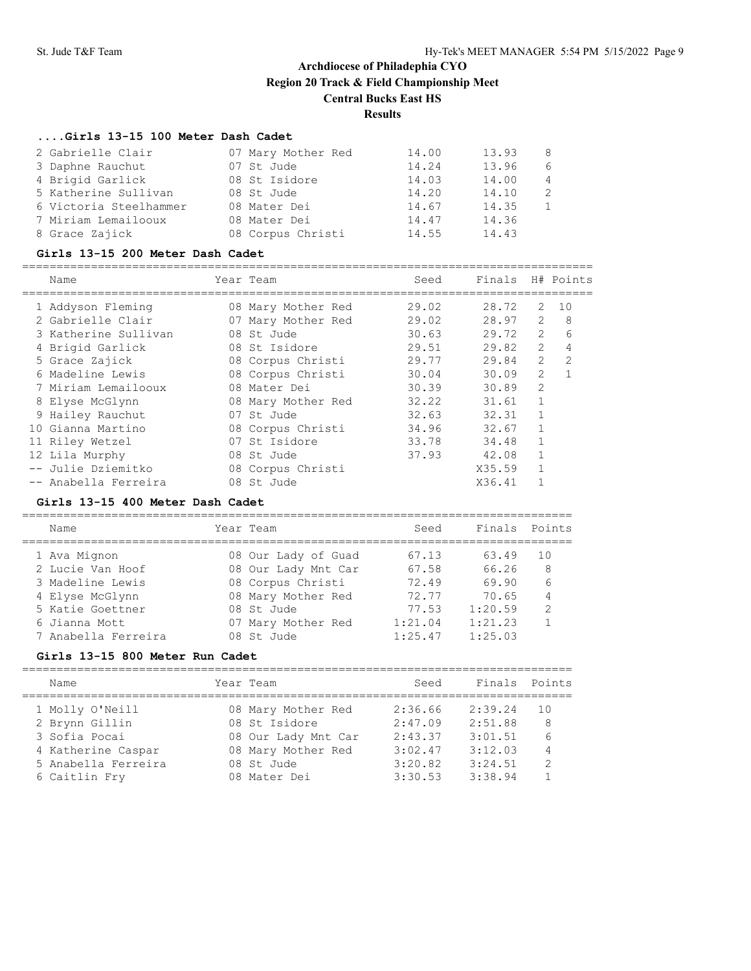### **....Girls 13-15 100 Meter Dash Cadet**

| 2 Gabrielle Clair      | 07 Mary Mother Red | 14.00 | 13.93 | 8             |
|------------------------|--------------------|-------|-------|---------------|
| 3 Daphne Rauchut       | 07 St Jude         | 14.24 | 13.96 | 6             |
| 4 Brigid Garlick       | 08 St Isidore      | 14.03 | 14.00 | 4             |
| 5 Katherine Sullivan   | 08 St Jude         | 14.20 | 14.10 | $\mathcal{L}$ |
| 6 Victoria Steelhammer | 08 Mater Dei       | 14.67 | 14.35 |               |
| 7 Miriam Lemailooux    | 08 Mater Dei       | 14.47 | 14.36 |               |
| 8 Grace Zajick         | 08 Corpus Christi  | 14.55 | 14.43 |               |

#### **Girls 13-15 200 Meter Dash Cadet**

===================================================================================

| Name                 | Year Team          | Seed  | Finals |                | H# Points    |
|----------------------|--------------------|-------|--------|----------------|--------------|
| 1 Addyson Fleming    | 08 Mary Mother Red | 29.02 | 28.72  | 2              | 10           |
| 2 Gabrielle Clair    | 07 Mary Mother Red | 29.02 | 28.97  | $\overline{2}$ | 8            |
| 3 Katherine Sullivan | 08 St Jude         | 30.63 | 29.72  | $\overline{2}$ | 6            |
| 4 Brigid Garlick     | 08 St Isidore      | 29.51 | 29.82  | $\mathcal{L}$  | 4            |
| 5 Grace Zajick       | 08 Corpus Christi  | 29.77 | 29.84  | $\overline{2}$ | 2            |
| 6 Madeline Lewis     | 08 Corpus Christi  | 30.04 | 30.09  | $\overline{2}$ | $\mathbf{1}$ |
| 7 Miriam Lemailooux  | 08 Mater Dei       | 30.39 | 30.89  | $\mathfrak{D}$ |              |
| 8 Elyse McGlynn      | 08 Mary Mother Red | 32.22 | 31.61  | $\mathbf{1}$   |              |
| 9 Hailey Rauchut     | 07 St Jude         | 32.63 | 32.31  |                |              |
| 10 Gianna Martino    | 08 Corpus Christi  | 34.96 | 32.67  |                |              |
| 11 Riley Wetzel      | 07 St Isidore      | 33.78 | 34.48  |                |              |
| 12 Lila Murphy       | 08 St Jude         | 37.93 | 42.08  | $\mathbf{1}$   |              |
| -- Julie Dziemitko   | 08 Corpus Christi  |       | X35.59 | $\mathbf{1}$   |              |
| -- Anabella Ferreira | 08 St Jude         |       | X36.41 |                |              |

#### **Girls 13-15 400 Meter Dash Cadet**

================================================================================

| Name                | Year Team           | Seed    | Finals Points |               |
|---------------------|---------------------|---------|---------------|---------------|
| 1 Ava Mignon        | 08 Our Lady of Guad | 67.13   | 63.49         | 10            |
| 2 Lucie Van Hoof    | 08 Our Lady Mnt Car | 67.58   | 66.26         | 8             |
| 3 Madeline Lewis    | 08 Corpus Christi   | 72.49   | 69.90         | 6             |
| 4 Elyse McGlynn     | 08 Mary Mother Red  | 72.77   | 70.65         | 4             |
| 5 Katie Goettner    | 08 St. Jude         | 77.53   | 1:20.59       | $\mathcal{L}$ |
| 6 Jianna Mott       | 07 Mary Mother Red  | 1:21.04 | 1:21.23       |               |
| 7 Anabella Ferreira | 08 St. Jude         | 1:25.47 | 1:25.03       |               |

### **Girls 13-15 800 Meter Run Cadet**

| Name                | Year Team           | Seed    | Finals Points |                 |
|---------------------|---------------------|---------|---------------|-----------------|
| 1 Molly O'Neill     | 08 Mary Mother Red  | 2:36.66 | 2:39.24       | 1 O             |
| 2 Brynn Gillin      | 08 St Isidore       | 2:47.09 | 2:51.88       | 8               |
| 3 Sofia Pocai       | 08 Our Lady Mnt Car | 2:43.37 | 3:01.51       | $6\overline{6}$ |
| 4 Katherine Caspar  | 08 Mary Mother Red  | 3:02.47 | 3:12.03       | 4               |
| 5 Anabella Ferreira | 08 St. Jude         | 3:20.82 | 3:24.51       | $\mathcal{D}$   |
| 6 Caitlin Fry       | 08 Mater Dei        | 3:30.53 | 3:38.94       |                 |
|                     |                     |         |               |                 |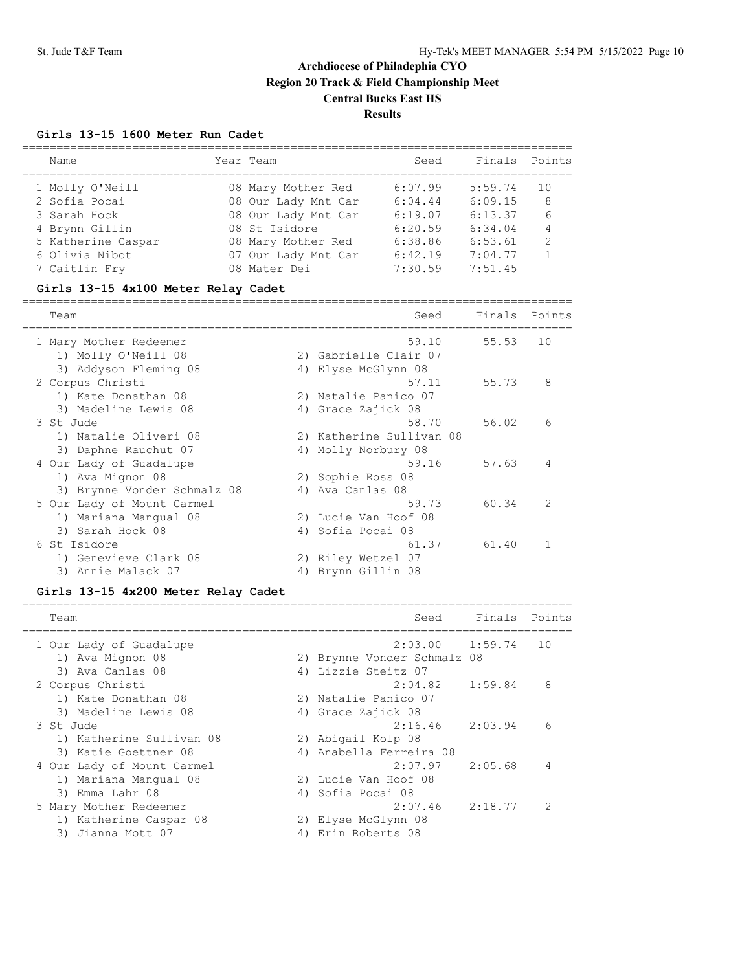### **Girls 13-15 1600 Meter Run Cadet**

| Name               | Year Team           | Seed    | Finals Points |              |
|--------------------|---------------------|---------|---------------|--------------|
| 1 Molly O'Neill    | 08 Mary Mother Red  | 6:07.99 | 5:59.74       | 1 O          |
| 2 Sofia Pocai      | 08 Our Lady Mnt Car | 6:04.44 | 6:09.15       | 8            |
| 3 Sarah Hock       | 08 Our Lady Mnt Car | 6:19.07 | 6:13.37       | 6            |
| 4 Brynn Gillin     | 08 St Isidore       | 6:20.59 | 6:34.04       | 4            |
| 5 Katherine Caspar | 08 Mary Mother Red  | 6:38.86 | 6:53.61       | 2            |
| 6 Olivia Nibot     | 07 Our Lady Mnt Car | 6:42.19 | 7:04.77       | $\mathbf{1}$ |
| 7 Caitlin Fry      | 08 Mater Dei        | 7:30.59 | 7:51.45       |              |

## **Girls 13-15 4x100 Meter Relay Cadet**

================================================================================

| Team                        |    | Seed                     | Finals | Points |
|-----------------------------|----|--------------------------|--------|--------|
| 1 Mary Mother Redeemer      |    | 59.10                    | 55.53  | 10     |
| 1) Molly O'Neill 08         |    | 2) Gabrielle Clair 07    |        |        |
| 3) Addyson Fleming 08       |    | 4) Elyse McGlynn 08      |        |        |
| 2 Corpus Christi            |    | 57.11                    | 55.73  | 8      |
| 1) Kate Donathan 08         |    | 2) Natalie Panico 07     |        |        |
| 3) Madeline Lewis 08        |    | 4) Grace Zajick 08       |        |        |
| 3 St. Jude                  |    | 58.70                    | 56.02  | 6      |
| 1) Natalie Oliveri 08       |    | 2) Katherine Sullivan 08 |        |        |
| 3) Daphne Rauchut 07        | 4) | Molly Norbury 08         |        |        |
| 4 Our Lady of Guadalupe     |    | 59.16                    | 57.63  | 4      |
| 1) Ava Mignon 08            |    | 2) Sophie Ross 08        |        |        |
| 3) Brynne Vonder Schmalz 08 | 4) | Ava Canlas 08            |        |        |
| 5 Our Lady of Mount Carmel  |    | 59.73                    | 60.34  | 2      |
| 1) Mariana Mangual 08       | 2) | Lucie Van Hoof 08        |        |        |
| 3) Sarah Hock 08            | 4) | Sofia Pocai 08           |        |        |
| 6 St Isidore                |    | 61.37                    | 61.40  |        |
| 1) Genevieve Clark 08       |    | 2) Riley Wetzel 07       |        |        |
| 3) Annie Malack 07          | 4) | Brynn Gillin 08          |        |        |
|                             |    |                          |        |        |

## **Girls 13-15 4x200 Meter Relay Cadet**

| Team                       | Seed                        | Finals Points |               |
|----------------------------|-----------------------------|---------------|---------------|
| 1 Our Lady of Guadalupe    | 2:03.00                     | 1:59.74       | 10            |
| 1) Ava Mignon 08           | 2) Brynne Vonder Schmalz 08 |               |               |
| 3) Ava Canlas 08           | 4) Lizzie Steitz 07         |               |               |
| 2 Corpus Christi           | 2:04.82                     | 1:59.84       | 8             |
| 1) Kate Donathan 08        | 2) Natalie Panico 07        |               |               |
| 3) Madeline Lewis 08       | 4) Grace Zajick 08          |               |               |
| 3 St. Jude                 | 2:16.46                     | 2:03.94       | 6             |
| 1) Katherine Sullivan 08   | 2) Abigail Kolp 08          |               |               |
| 3) Katie Goettner 08       | 4) Anabella Ferreira 08     |               |               |
| 4 Our Lady of Mount Carmel | 2:07.97                     | 2:05.68       | 4             |
| 1) Mariana Manqual 08      | 2) Lucie Van Hoof 08        |               |               |
| 3) Emma Lahr 08            | 4) Sofia Pocai 08           |               |               |
| 5 Mary Mother Redeemer     | $2:07.46$ $2:18.77$         |               | $\mathcal{P}$ |
| 1) Katherine Caspar 08     | 2) Elyse McGlynn 08         |               |               |
| 3) Jianna Mott 07<br>4)    | Erin Roberts 08             |               |               |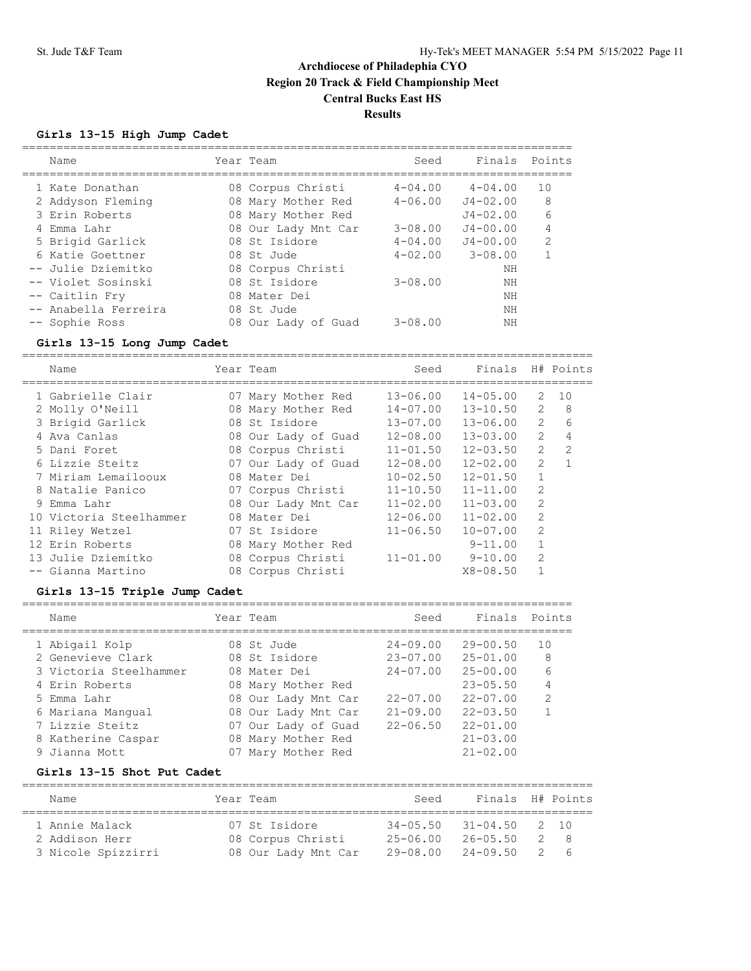## **Girls 13-15 High Jump Cadet**

| Name                 | Year Team           | Seed        | Finals       | Points         |
|----------------------|---------------------|-------------|--------------|----------------|
| 1 Kate Donathan      | 08 Corpus Christi   | $4 - 04.00$ | $4 - 04.00$  | 10             |
| 2 Addyson Fleming    | 08 Mary Mother Red  | $4 - 06.00$ | $J4 - 02.00$ | 8              |
| 3 Erin Roberts       | 08 Mary Mother Red  |             | $J4 - 02.00$ | 6              |
| 4 Emma Lahr          | 08 Our Lady Mnt Car | $3 - 08.00$ | $J4 - 00.00$ | 4              |
| 5 Brigid Garlick     | 08 St Isidore       | $4 - 04.00$ | $J4 - 00.00$ | $\mathfrak{D}$ |
| 6 Katie Goettner     | 08 St. Jude         | $4 - 02.00$ | $3 - 08.00$  |                |
| -- Julie Dziemitko   | 08 Corpus Christi   |             | NΗ           |                |
| -- Violet Sosinski   | 08 St Isidore       | $3 - 08.00$ | NΗ           |                |
| -- Caitlin Fry       | 08 Mater Dei        |             | NΗ           |                |
| -- Anabella Ferreira | 08 St Jude          |             | NΗ           |                |
| -- Sophie Ross       | 08 Our Lady of Guad | $3 - 08.00$ | NΗ           |                |

### **Girls 13-15 Long Jump Cadet**

===================================================================================

| Name                    | Year Team           | Seed         | Finals       |                | H# Points     |
|-------------------------|---------------------|--------------|--------------|----------------|---------------|
| 1 Gabrielle Clair       | 07 Mary Mother Red  | $13 - 06.00$ | $14 - 05.00$ | $\mathbf{2}$   | 10            |
| 2 Molly O'Neill         | 08 Mary Mother Red  | $14 - 07.00$ | $13 - 10.50$ | $\mathcal{L}$  | 8             |
| 3 Brigid Garlick        | 08 St. Isidore      | $13 - 07.00$ | $13 - 06.00$ | 2              | 6             |
| 4 Ava Canlas            | 08 Our Lady of Guad | $12 - 08.00$ | $13 - 03.00$ | 2              | 4             |
| 5 Dani Foret            | 08 Corpus Christi   | $11 - 01.50$ | $12 - 03.50$ | $\overline{2}$ | $\mathcal{L}$ |
| 6 Lizzie Steitz         | 07 Our Lady of Guad | $12 - 08.00$ | $12 - 02.00$ | $\mathfrak{D}$ |               |
| 7 Miriam Lemailooux     | 08 Mater Dei        | $10 - 02.50$ | $12 - 01.50$ |                |               |
| 8 Natalie Panico        | 07 Corpus Christi   | $11 - 10.50$ | $11 - 11.00$ | $\overline{2}$ |               |
| 9 Emma Lahr             | 08 Our Lady Mnt Car | $11 - 02.00$ | $11 - 03.00$ | 2              |               |
| 10 Victoria Steelhammer | 08 Mater Dei        | $12 - 06.00$ | $11 - 02.00$ | $\overline{2}$ |               |
| 11 Riley Wetzel         | 07 St Isidore       | $11 - 06.50$ | $10 - 07.00$ | 2              |               |
| 12 Erin Roberts         | 08 Mary Mother Red  |              | $9 - 11.00$  |                |               |
| 13 Julie Dziemitko      | 08 Corpus Christi   | $11 - 01.00$ | $9 - 10.00$  | 2              |               |
| -- Gianna Martino       | 08 Corpus Christi   |              | $X8 - 08.50$ |                |               |

### **Girls 13-15 Triple Jump Cadet**

| Name                   | Year Team           | Seed         | Finals Points |               |
|------------------------|---------------------|--------------|---------------|---------------|
| 1 Abigail Kolp         | 08 St. Jude         | $24 - 09.00$ | $29 - 00.50$  | 10            |
| 2 Genevieve Clark      | 08 St Isidore       | $23 - 07.00$ | $25 - 01.00$  | 8             |
| 3 Victoria Steelhammer | 08 Mater Dei        | $24 - 07.00$ | $25 - 00.00$  | 6             |
| 4 Erin Roberts         | 08 Mary Mother Red  |              | $23 - 05.50$  | 4             |
| 5 Emma Lahr            | 08 Our Lady Mnt Car | $22 - 07.00$ | $22 - 07.00$  | $\mathcal{P}$ |
| 6 Mariana Mangual      | 08 Our Lady Mnt Car | $21 - 09.00$ | $22 - 03.50$  |               |
| 7 Lizzie Steitz        | 07 Our Lady of Guad | $22 - 06.50$ | $22 - 01.00$  |               |
| 8 Katherine Caspar     | 08 Mary Mother Red  |              | $21 - 03.00$  |               |
| 9 Jianna Mott          | Mary Mother Red     |              | $21 - 02.00$  |               |

## **Girls 13-15 Shot Put Cadet**

| Name               | Year Team |                     | Seed                           | Finals H# Points |     |       |  |  |  |  |
|--------------------|-----------|---------------------|--------------------------------|------------------|-----|-------|--|--|--|--|
| 1 Annie Malack     |           | 07 St Isidore       | $34 - 05.50$ $31 - 04.50$ 2 10 |                  |     |       |  |  |  |  |
| 2 Addison Herr     |           | 08 Corpus Christi   | 25-06.00                       | 26-05.50         |     | $2^8$ |  |  |  |  |
| 3 Nicole Spizzirri |           | 08 Our Lady Mnt Car | 29-08.00                       | $24 - 09.50$     | -2. | - 6   |  |  |  |  |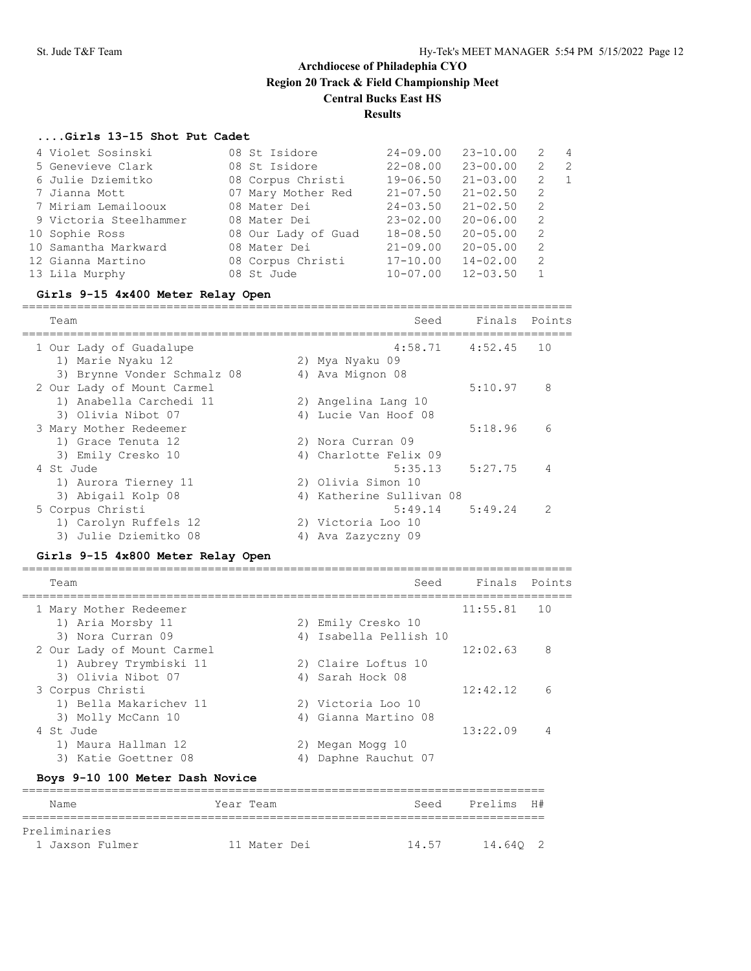#### **....Girls 13-15 Shot Put Cadet**

| 4 Violet Sosinski      | 08 St Isidore       | $24 - 09.00$ | $23 - 10.00$ | 2  | $\overline{4}$ |
|------------------------|---------------------|--------------|--------------|----|----------------|
| 5 Genevieve Clark      | 08 St Isidore       | $22 - 08.00$ | $23 - 00.00$ | 2  | -2             |
| 6 Julie Dziemitko      | 08 Corpus Christi   | $19 - 06.50$ | $21 - 03.00$ | 2  | $\sqrt{1}$     |
| 7 Jianna Mott          | 07 Mary Mother Red  | $21 - 07.50$ | $21 - 02.50$ | -2 |                |
| 7 Miriam Lemailooux    | 08 Mater Dei        | $24 - 03.50$ | $21 - 02.50$ | 2  |                |
| 9 Victoria Steelhammer | 08 Mater Dei        | $23 - 02.00$ | $20 - 06.00$ | -2 |                |
| 10 Sophie Ross         | 08 Our Lady of Guad | $18 - 08.50$ | $20 - 05.00$ | -2 |                |
| 10 Samantha Markward   | 08 Mater Dei        | $21 - 09.00$ | $20 - 05.00$ | 2  |                |
| 12 Gianna Martino      | 08 Corpus Christi   | $17 - 10.00$ | $14 - 02.00$ | -2 |                |
| 13 Lila Murphy         | 08 St Jude          | $10 - 07.00$ | $12 - 03.50$ |    |                |
|                        |                     |              |              |    |                |

#### **Girls 9-15 4x400 Meter Relay Open**

================================================================================ Team Seed Finals Points ================================================================================ 1 Our Lady of Guadalupe 4:58.71 4:52.45 10 1) Marie Nyaku 12 2) Mya Nyaku 09 3) Brynne Vonder Schmalz 08 <a>> 4) Ava Mignon 08 2 Our Lady of Mount Carmel 6:10.97 8 1) Anabella Carchedi 11 2) Angelina Lang 10 3) Olivia Nibot 07 (4) Lucie Van Hoof 08 3 Mary Mother Redeemer 5:18.96 6 1) Grace Tenuta 12 2) Nora Curran 09 3) Emily Cresko 10 4) Charlotte Felix 09 4 St Jude 5:35.13 5:27.75 4 1) Aurora Tierney 11 2) Olivia Simon 10 3) Abigail Kolp 08 4) Katherine Sullivan 08 5 Corpus Christi 5:49.14 5:49.24 2 1) Carolyn Ruffels 12 2) Victoria Loo 10

### **Girls 9-15 4x800 Meter Relay Open**

3) Julie Dziemitko 08 <br />
4) Ava Zazyczny 09

| Team                       |    | Seed                 | Finals   | Points |
|----------------------------|----|----------------------|----------|--------|
| 1 Mary Mother Redeemer     |    |                      | 11:55.81 | 1 O    |
| 1) Aria Morsby 11          |    | 2) Emily Cresko 10   |          |        |
| 3) Nora Curran 09          | 4) | Isabella Pellish 10  |          |        |
| 2 Our Lady of Mount Carmel |    |                      | 12:02.63 | 8      |
| 1) Aubrey Trymbiski 11     |    | 2) Claire Loftus 10  |          |        |
| 3) Olivia Nibot 07         | 4) | Sarah Hock 08        |          |        |
| 3 Corpus Christi           |    |                      | 12:42.12 | 6      |
| 1) Bella Makarichev 11     |    | 2) Victoria Loo 10   |          |        |
| 3) Molly McCann 10         |    | 4) Gianna Martino 08 |          |        |
| 4 St. Jude                 |    |                      | 13:22.09 | 4      |
| 1) Maura Hallman 12        | 2) | Megan Mogg 10        |          |        |
| 3) Katie Goettner 08       |    | Daphne Rauchut 07    |          |        |
|                            |    |                      |          |        |

#### **Boys 9-10 100 Meter Dash Novice**

| Name            | Year Team    | Seed  | Prelims H# |  |
|-----------------|--------------|-------|------------|--|
| Preliminaries   |              |       |            |  |
| 1 Jaxson Fulmer | 11 Mater Dei | 14.57 | 14.640 2   |  |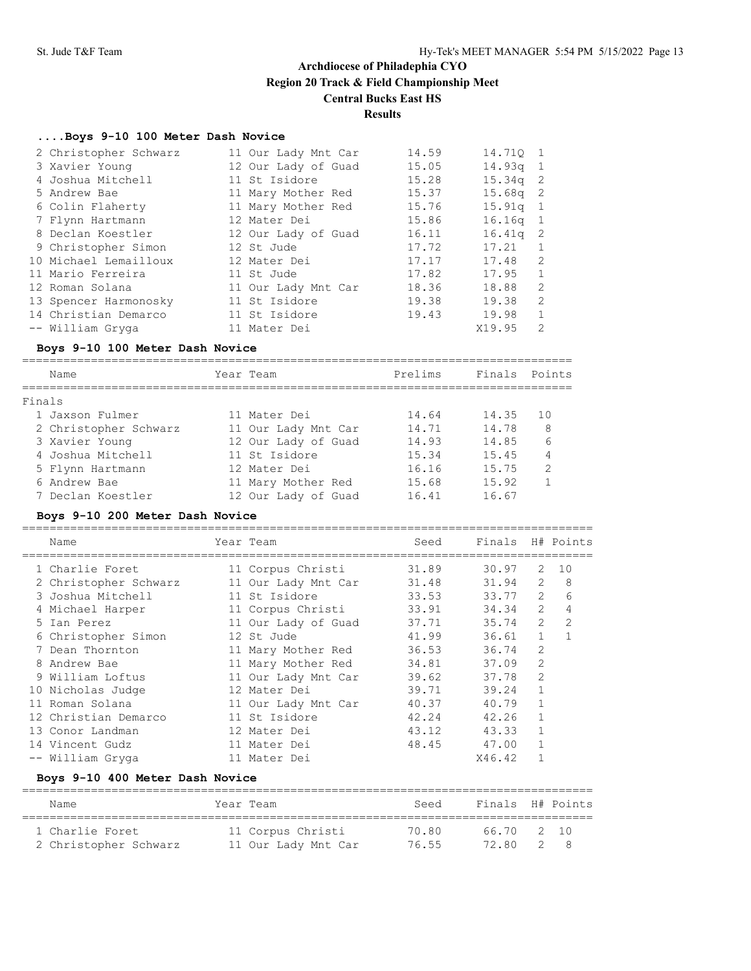# **Results**

#### **....Boys 9-10 100 Meter Dash Novice**

| 2 Christopher Schwarz | 11 Our Lady Mnt Car | 14.59 | 14.710 1   |                |
|-----------------------|---------------------|-------|------------|----------------|
| 3 Xavier Young        | 12 Our Lady of Guad | 15.05 | $14.93q$ 1 |                |
| 4 Joshua Mitchell     | 11 St Isidore       | 15.28 | $15.34q$ 2 |                |
| 5 Andrew Bae          | 11 Mary Mother Red  | 15.37 | $15.68q$ 2 |                |
| 6 Colin Flaherty      | 11 Mary Mother Red  | 15.76 | $15.91q$ 1 |                |
| 7 Flynn Hartmann      | 12 Mater Dei        | 15.86 | $16.16q$ 1 |                |
| 8 Declan Koestler     | 12 Our Lady of Guad | 16.11 | $16.41q$ 2 |                |
| 9 Christopher Simon   | 12 St Jude          | 17.72 | 17.21      |                |
| 10 Michael Lemailloux | 12 Mater Dei        | 17.17 | 17.48      | 2              |
| 11 Mario Ferreira     | 11 St Jude          | 17.82 | 17.95      | $\mathbf{1}$   |
| 12 Roman Solana       | 11 Our Lady Mnt Car | 18.36 | 18.88      | $\mathcal{L}$  |
| 13 Spencer Harmonosky | 11 St Isidore       | 19.38 | 19.38      | $\mathcal{L}$  |
| 14 Christian Demarco  | 11 St Isidore       | 19.43 | 19.98      | $\overline{1}$ |
| -- William Gryga      | 11 Mater Dei        |       | X19.95     | $\mathcal{L}$  |

#### **Boys 9-10 100 Meter Dash Novice**

================================================================================

|        | Name                  | Year Team           | Prelims | Finals Points |               |
|--------|-----------------------|---------------------|---------|---------------|---------------|
| Finals |                       |                     |         |               |               |
|        | 1 Jaxson Fulmer       | 11 Mater Dei        | 14.64   | 14.35         | 10            |
|        | 2 Christopher Schwarz | 11 Our Lady Mnt Car | 14.71   | 14.78         | 8             |
|        | 3 Xavier Young        | 12 Our Lady of Guad | 14.93   | 14.85         | 6             |
|        | 4 Joshua Mitchell     | 11 St Isidore       | 15.34   | 15.45         | 4             |
|        | 5 Flynn Hartmann      | 12 Mater Dei        | 16.16   | 15.75         | $\mathcal{L}$ |
|        | 6 Andrew Bae          | 11 Mary Mother Red  | 15.68   | 15.92         |               |
|        | 7 Declan Koestler     | 12 Our Lady of Guad | 16.41   | 16.67         |               |

#### **Boys 9-10 200 Meter Dash Novice**

=================================================================================== Name Year Team Seed Finals H# Points =================================================================================== 1 Charlie Foret 11 Corpus Christi 31.89 30.97 2 10 2 Christopher Schwarz 11 Our Lady Mnt Car 31.48 31.94 2 8 3 Joshua Mitchell 11 St Isidore 33.53 33.77 2 6 4 Michael Harper 11 Corpus Christi 33.91 34.34 2 4 5 Ian Perez 11 Our Lady of Guad 37.71 35.74 2 2 6 Christopher Simon 12 St Jude 41.99 36.61 1 1 7 Dean Thornton 11 Mary Mother Red 36.53 36.74 2 8 Andrew Bae 11 Mary Mother Red 34.81 37.09 2 9 William Loftus 11 Our Lady Mnt Car 39.62 37.78 2 10 Nicholas Judge 12 Mater Dei 39.71 39.24 1 11 Roman Solana 11 Our Lady Mnt Car 40.37 40.79 1 12 Christian Demarco 11 St Isidore 42.24 42.26 1 13 Conor Landman 12 Mater Dei 43.12 43.33 1 14 Vincent Gudz 11 Mater Dei 48.45 47.00 1 -- William Gryga 11 Mater Dei X46.42 1

## **Boys 9-10 400 Meter Dash Novice**

| Name                  | Year Team           | Seed  | Finals H# Points |  |
|-----------------------|---------------------|-------|------------------|--|
| 1 Charlie Foret       | 11 Corpus Christi   | 70.80 | 66.70 2 10       |  |
| 2 Christopher Schwarz | 11 Our Lady Mnt Car | 76.55 | 72.80 2          |  |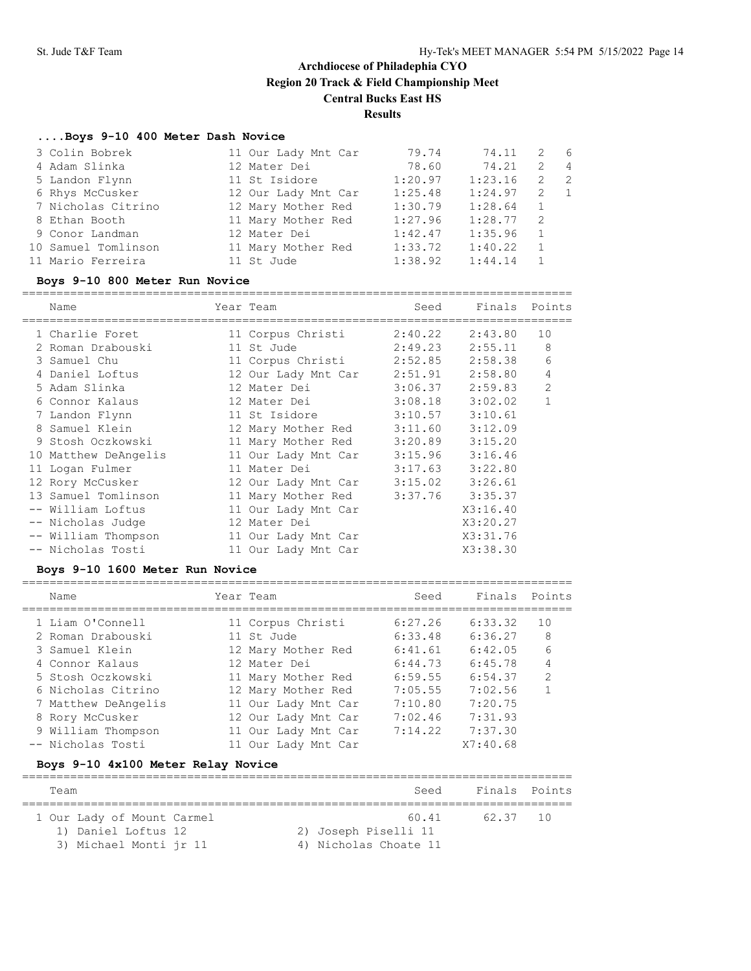### **....Boys 9-10 400 Meter Dash Novice**

| 3 Colin Bobrek      | 11 Our Lady Mnt Car | 79.74   | 74.11   | 2              | - 6            |
|---------------------|---------------------|---------|---------|----------------|----------------|
| 4 Adam Slinka       | 12 Mater Dei        | 78.60   | 74.21   | 2              | $\overline{4}$ |
| 5 Landon Flynn      | 11 St Isidore       | 1:20.97 | 1:23.16 | 2              | $\overline{2}$ |
| 6 Rhys McCusker     | 12 Our Lady Mnt Car | 1:25.48 | 1:24.97 | 2 1            |                |
| 7 Nicholas Citrino  | 12 Mary Mother Red  | 1:30.79 | 1:28.64 | 1              |                |
| 8 Ethan Booth       | 11 Mary Mother Red  | 1:27.96 | 1:28.77 | -2             |                |
| 9 Conor Landman     | 12 Mater Dei        | 1:42.47 | 1:35.96 | $\overline{1}$ |                |
| 10 Samuel Tomlinson | 11 Mary Mother Red  | 1:33.72 | 1:40.22 |                |                |
| 11 Mario Ferreira   | 11 St Jude          | 1:38.92 | 1:44.14 |                |                |

#### **Boys 9-10 800 Meter Run Novice**

================================================================================

|  | Name                 | Year Team                 | Seed    | Finals              | Points |
|--|----------------------|---------------------------|---------|---------------------|--------|
|  | 1 Charlie Foret      | 11 Corpus Christi         |         | $2:40.22$ $2:43.80$ | 10     |
|  | 2 Roman Drabouski    | 11 St Jude                | 2:49.23 | 2:55.11             | 8      |
|  | 3 Samuel Chu         | 11 Corpus Christi 2:52.85 |         | 2:58.38             | 6      |
|  | 4 Daniel Loftus      | 12 Our Lady Mnt Car       | 2:51.91 | 2:58.80             | 4      |
|  | 5 Adam Slinka        | 12 Mater Dei              |         | $3:06.37$ $2:59.83$ | 2      |
|  | 6 Connor Kalaus      | 12 Mater Dei              |         | $3:08.18$ $3:02.02$ | 1      |
|  | 7 Landon Flynn       | 11 St Isidore             |         | $3:10.57$ $3:10.61$ |        |
|  | 8 Samuel Klein       | 12 Mary Mother Red        |         | $3:11.60$ $3:12.09$ |        |
|  | 9 Stosh Oczkowski    | 11 Mary Mother Red        |         | $3:20.89$ $3:15.20$ |        |
|  | 10 Matthew DeAngelis | 11 Our Lady Mnt Car       |         | $3:15.96$ $3:16.46$ |        |
|  | 11 Logan Fulmer      | 11 Mater Dei              | 3:17.63 | 3:22.80             |        |
|  | 12 Rory McCusker     | 12 Our Lady Mnt Car       |         | $3:15.02$ $3:26.61$ |        |
|  | 13 Samuel Tomlinson  | 11 Mary Mother Red        |         | $3:37.76$ $3:35.37$ |        |
|  | -- William Loftus    | 11 Our Lady Mnt Car       |         | X3:16.40            |        |
|  | -- Nicholas Judge    | 12 Mater Dei              |         | X3:20.27            |        |
|  | -- William Thompson  | 11 Our Lady Mnt Car       |         | X3:31.76            |        |
|  | -- Nicholas Tosti    | 11 Our Lady Mnt Car       |         | X3:38.30            |        |
|  |                      |                           |         |                     |        |

### **Boys 9-10 1600 Meter Run Novice**

================================================================================

| Name                | Year Team           | Seed    | Finals   | Points         |
|---------------------|---------------------|---------|----------|----------------|
| 1 Liam O'Connell    | 11 Corpus Christi   | 6:27.26 | 6:33.32  | 10             |
| 2 Roman Drabouski   | 11 St Jude          | 6:33.48 | 6:36.27  | 8              |
| 3 Samuel Klein      | 12 Mary Mother Red  | 6:41.61 | 6:42.05  | 6              |
| 4 Connor Kalaus     | 12 Mater Dei        | 6:44.73 | 6:45.78  | 4              |
| 5 Stosh Oczkowski   | 11 Mary Mother Red  | 6:59.55 | 6:54.37  | $\overline{2}$ |
| 6 Nicholas Citrino  | 12 Mary Mother Red  | 7:05.55 | 7:02.56  |                |
| 7 Matthew DeAngelis | 11 Our Lady Mnt Car | 7:10.80 | 7:20.75  |                |
| 8 Rory McCusker     | 12 Our Lady Mnt Car | 7:02.46 | 7:31.93  |                |
| 9 William Thompson  | 11 Our Lady Mnt Car | 7:14.22 | 7:37.30  |                |
| -- Nicholas Tosti   | 11 Our Lady Mnt Car |         | X7:40.68 |                |
|                     |                     |         |          |                |

## **Boys 9-10 4x100 Meter Relay Novice**

| Team                       | Seed                  | Finals Points |  |
|----------------------------|-----------------------|---------------|--|
| 1 Our Lady of Mount Carmel | 60.41                 | 62.37 10      |  |
| 1) Daniel Loftus 12        | 2) Joseph Piselli 11  |               |  |
| 3) Michael Monti jr 11     | 4) Nicholas Choate 11 |               |  |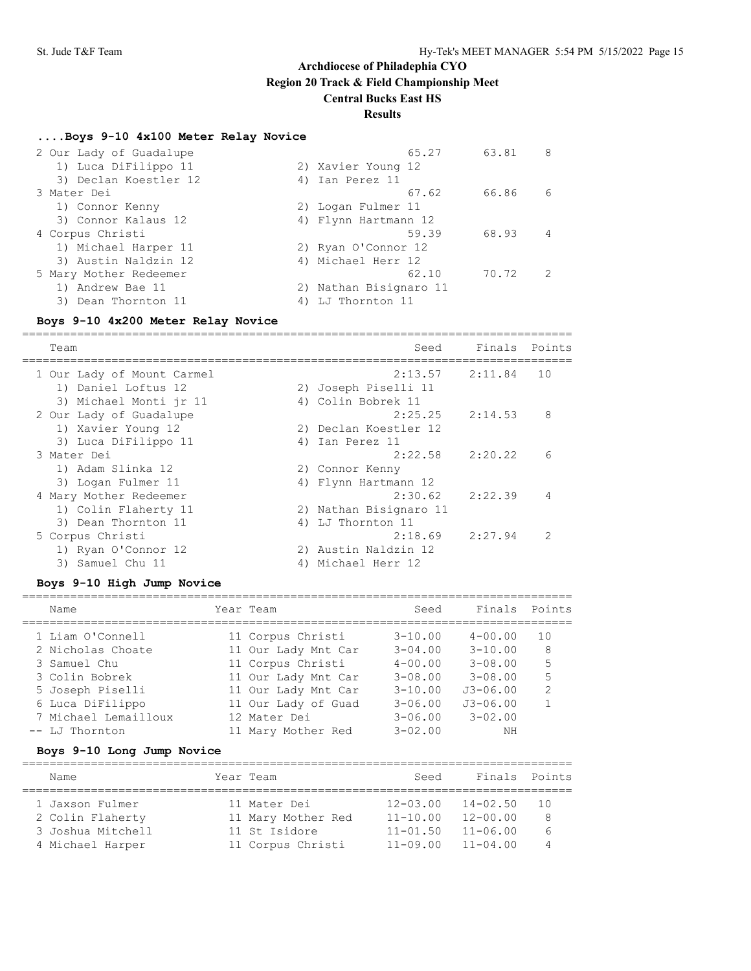## **Results**

### **....Boys 9-10 4x100 Meter Relay Novice**

| 2 Our Lady of Guadalupe |                        | 65.27 | 63.81 | 8              |
|-------------------------|------------------------|-------|-------|----------------|
| 1) Luca DiFilippo 11    | 2) Xavier Young 12     |       |       |                |
| 3) Declan Koestler 12   | 4) Ian Perez 11        |       |       |                |
| 3 Mater Dei             |                        | 67.62 | 66.86 | 6              |
| 1) Connor Kenny         | 2) Logan Fulmer 11     |       |       |                |
| 3) Connor Kalaus 12     | 4) Flynn Hartmann 12   |       |       |                |
| 4 Corpus Christi        |                        | 59.39 | 68.93 | 4              |
| 1) Michael Harper 11    | 2) Ryan O'Connor 12    |       |       |                |
| 3) Austin Naldzin 12    | 4) Michael Herr 12     |       |       |                |
| 5 Mary Mother Redeemer  |                        | 62.10 | 70.72 | $\overline{2}$ |
| 1) Andrew Bae 11        | 2) Nathan Bisignaro 11 |       |       |                |
| 3) Dean Thornton 11     | 4) LJ Thornton 11      |       |       |                |

#### **Boys 9-10 4x200 Meter Relay Novice**

================================================================================ Team Seed Finals Points ================================================================================ 1 Our Lady of Mount Carmel 2:13.57 2:11.84 10 1) Daniel Loftus 12 2) Joseph Piselli 11 3) Michael Monti jr 11  $\hskip10mm$  4) Colin Bobrek 11 2 Our Lady of Guadalupe 2:25.25 2:14.53 8 1) Xavier Young 12 2) Declan Koestler 12 3) Luca DiFilippo 11 (4) Ian Perez 11 3 Mater Dei 2:22.58 2:20.22 6 1) Adam Slinka 12 2) Connor Kenny 3) Logan Fulmer 11 1988 (4) Flynn Hartmann 12 4 Mary Mother Redeemer 2:30.62 2:22.39 4 1) Colin Flaherty 11 2) Nathan Bisignaro 11 3) Dean Thornton 11 4) LJ Thornton 11 5 Corpus Christi 2:18.69 2:27.94 2 1) Ryan O'Connor 12 2) Austin Naldzin 12 3) Samuel Chu 11 4) Michael Herr 12

#### **Boys 9-10 High Jump Novice**

| Name                 | Year Team           | Seed        | Finals       | Points        |
|----------------------|---------------------|-------------|--------------|---------------|
| 1 Liam O'Connell     | 11 Corpus Christi   | $3 - 10.00$ | $4 - 00.00$  | 10            |
| 2 Nicholas Choate    | 11 Our Lady Mnt Car | $3 - 04.00$ | $3 - 10.00$  | 8             |
| 3 Samuel Chu         | 11 Corpus Christi   | $4 - 00.00$ | $3 - 08.00$  | 5             |
| 3 Colin Bobrek       | 11 Our Lady Mnt Car | $3 - 08.00$ | $3 - 08.00$  | 5             |
| 5 Joseph Piselli     | 11 Our Lady Mnt Car | $3 - 10.00$ | $J3 - 06.00$ | $\mathcal{D}$ |
| 6 Luca DiFilippo     | 11 Our Lady of Guad | $3 - 06.00$ | $J3 - 06.00$ |               |
| 7 Michael Lemailloux | 12 Mater Dei        | $3 - 06.00$ | $3 - 02.00$  |               |
| -- LJ Thornton       | 11 Mary Mother Red  | $3 - 02.00$ | ΝH           |               |
|                      |                     |             |              |               |

## **Boys 9-10 Long Jump Novice**

| Name              |  | Year Team          | Seed         | Finals Points |     |  |  |  |  |
|-------------------|--|--------------------|--------------|---------------|-----|--|--|--|--|
|                   |  |                    |              |               |     |  |  |  |  |
| 1 Jaxson Fulmer   |  | 11 Mater Dei       | $12 - 03.00$ | $14 - 02.50$  | 1 N |  |  |  |  |
| 2 Colin Flaherty  |  | 11 Mary Mother Red | $11 - 10.00$ | $12 - 00.00$  | 8   |  |  |  |  |
| 3 Joshua Mitchell |  | 11 St Isidore      | $11 - 01.50$ | $11 - 06.00$  | 6   |  |  |  |  |
| 4 Michael Harper  |  | 11 Corpus Christi  | $11 - 09.00$ | $11 - 04.00$  |     |  |  |  |  |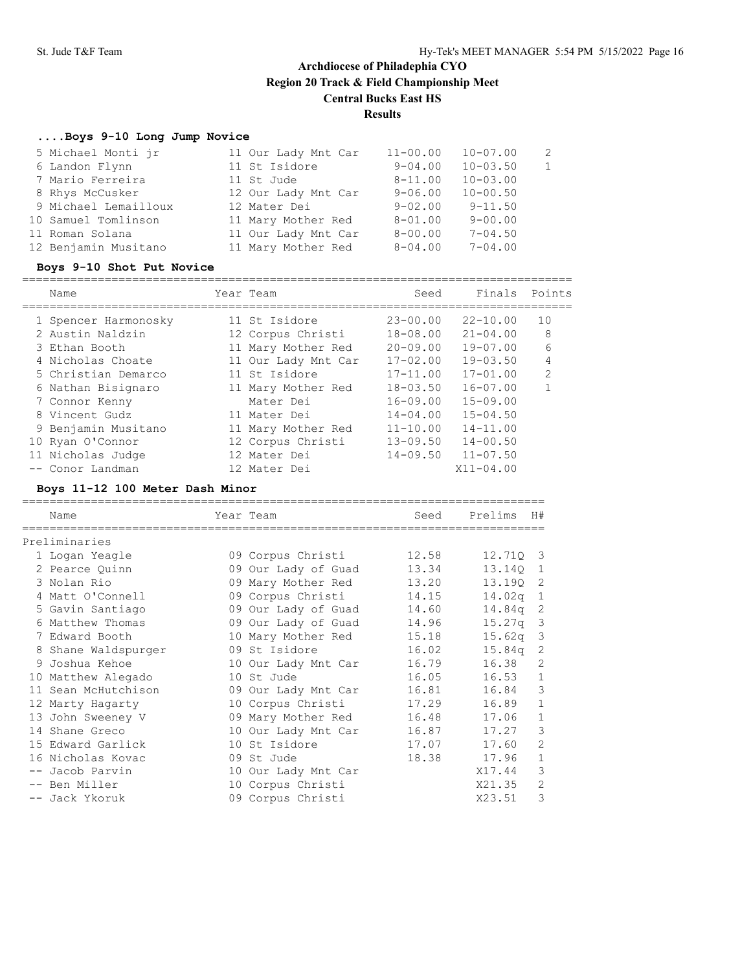# **....Boys 9-10 Long Jump Novice**

| 5 Michael Monti jr   | 11 Our Lady Mnt Car | $11 - 00.00$ | $10 - 07.00$ | 2 |
|----------------------|---------------------|--------------|--------------|---|
| 6 Landon Flynn       | 11 St Isidore       | $9 - 04.00$  | $10 - 03.50$ |   |
| 7 Mario Ferreira     | 11 St Jude          | $8 - 11.00$  | $10 - 03.00$ |   |
| 8 Rhys McCusker      | 12 Our Lady Mnt Car | $9 - 06.00$  | $10 - 00.50$ |   |
| 9 Michael Lemailloux | 12 Mater Dei        | $9 - 02.00$  | $9 - 11.50$  |   |
| 10 Samuel Tomlinson  | 11 Mary Mother Red  | $8 - 01.00$  | $9 - 00.00$  |   |
| 11 Roman Solana      | 11 Our Lady Mnt Car | $8 - 00.00$  | $7 - 04.50$  |   |
| 12 Benjamin Musitano | 11 Mary Mother Red  | $8 - 04.00$  | $7 - 04.00$  |   |
|                      |                     |              |              |   |

### **Boys 9-10 Shot Put Novice**

| Name                 |    | Year Team           | Seed         | Finals        | Points         |
|----------------------|----|---------------------|--------------|---------------|----------------|
| 1 Spencer Harmonosky |    | 11 St. Isidore      | $23 - 00.00$ | $22 - 10.00$  | 10             |
| 2 Austin Naldzin     |    | 12 Corpus Christi   | $18 - 08.00$ | $21 - 04.00$  | 8              |
| 3 Ethan Booth        | 11 | Mary Mother Red     | $20 - 09.00$ | $19 - 07.00$  | 6              |
| 4 Nicholas Choate    |    | 11 Our Lady Mnt Car | $17 - 02.00$ | $19 - 03.50$  | 4              |
| 5 Christian Demarco  |    | 11 St Isidore       | $17 - 11.00$ | $17 - 01.00$  | $\mathfrak{D}$ |
| 6 Nathan Bisignaro   |    | 11 Mary Mother Red  | $18 - 03.50$ | $16 - 07.00$  |                |
| 7 Connor Kenny       |    | Mater Dei           | $16 - 09.00$ | $15 - 09.00$  |                |
| 8 Vincent Gudz       |    | 11 Mater Dei        | $14 - 04.00$ | $15 - 04.50$  |                |
| 9 Benjamin Musitano  |    | 11 Mary Mother Red  | $11 - 10.00$ | $14 - 11.00$  |                |
| 10 Ryan O'Connor     |    | 12 Corpus Christi   | $13 - 09.50$ | $14 - 00.50$  |                |
| 11 Nicholas Judge    |    | 12 Mater Dei        | $14 - 09.50$ | $11 - 07.50$  |                |
| -- Conor Landman     |    | 12 Mater Dei        |              | $X11 - 04.00$ |                |
|                      |    |                     |              |               |                |

## **Boys 11-12 100 Meter Dash Minor**

| Name                | Year Team           | Seed  | Prelims            | H#             |
|---------------------|---------------------|-------|--------------------|----------------|
| Preliminaries       |                     |       |                    |                |
| 1 Logan Yeagle      | 09 Corpus Christi   | 12.58 | 12.710             | $\overline{3}$ |
| 2 Pearce Ouinn      | 09 Our Lady of Guad | 13.34 | 13.140             | 1              |
| 3 Nolan Rio         | 09 Mary Mother Red  | 13.20 | 13.190             | - 2            |
| 4 Matt O'Connell    | 09 Corpus Christi   | 14.15 | 14.02q             | $\mathbf{1}$   |
| 5 Gavin Santiago    | 09 Our Lady of Guad | 14.60 | 14.84q             | 2              |
| 6 Matthew Thomas    | 09 Our Lady of Guad | 14.96 | 15.27 <sub>q</sub> | 3              |
| 7 Edward Booth      | 10 Mary Mother Red  | 15.18 | 15.62 <sub>q</sub> | 3              |
| 8 Shane Waldspurger | 09 St Isidore       | 16.02 | 15.84q             | 2              |
| 9 Joshua Kehoe      | 10 Our Lady Mnt Car | 16.79 | 16.38              | 2              |
| 10 Matthew Alegado  | 10 St Jude          | 16.05 | 16.53              | $\mathbf 1$    |
| 11 Sean McHutchison | 09 Our Lady Mnt Car | 16.81 | 16.84              | 3              |
| 12 Marty Hagarty    | 10 Corpus Christi   | 17.29 | 16.89              | $\mathbf{1}$   |
| 13 John Sweeney V   | 09 Mary Mother Red  | 16.48 | 17.06              | 1              |
| 14 Shane Greco      | 10 Our Lady Mnt Car | 16.87 | 17.27              | 3              |
| 15 Edward Garlick   | 10 St Isidore       | 17.07 | 17.60              | 2              |
| 16 Nicholas Kovac   | 09 St Jude          | 18.38 | 17.96              | $\mathbf{1}$   |
| -- Jacob Parvin     | 10 Our Lady Mnt Car |       | X17.44             | 3              |
| -- Ben Miller       | 10 Corpus Christi   |       | X21.35             | 2              |
| -- Jack Ykoruk      | 09 Corpus Christi   |       | X23.51             | 3              |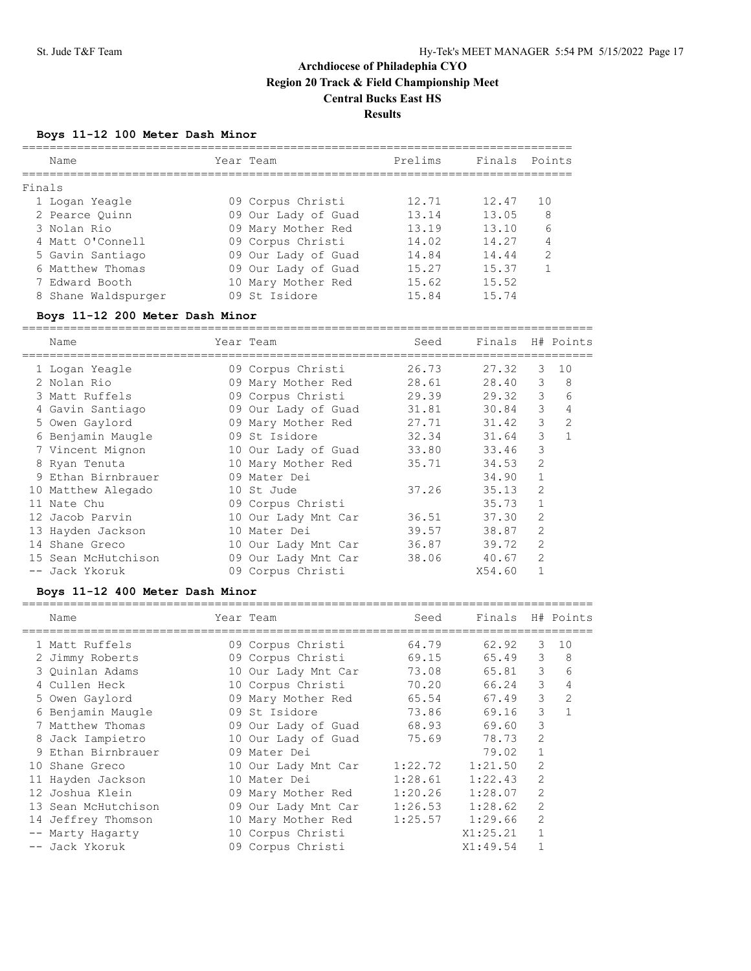#### **Boys 11-12 100 Meter Dash Minor**

|        | Name                | Year Team           | Prelims | Finals Points |               |
|--------|---------------------|---------------------|---------|---------------|---------------|
| Finals |                     |                     |         |               |               |
|        | 1 Logan Yeagle      | 09 Corpus Christi   | 12.71   | 12.47         | 10            |
|        | 2 Pearce Ouinn      | 09 Our Lady of Guad | 13.14   | 13.05         | 8             |
|        | 3 Nolan Rio         | 09 Mary Mother Red  | 13.19   | 13.10         | 6             |
|        | 4 Matt O'Connell    | 09 Corpus Christi   | 14.02   | 14.27         | 4             |
|        | 5 Gavin Santiago    | 09 Our Lady of Guad | 14.84   | 14.44         | $\mathcal{L}$ |
|        | 6 Matthew Thomas    | 09 Our Lady of Guad | 15.27   | 15.37         |               |
|        | 7 Edward Booth      | 10 Mary Mother Red  | 15.62   | 15.52         |               |
|        | 8 Shane Waldspurger | 09 St Isidore       | 15.84   | 15.74         |               |
|        |                     |                     |         |               |               |

#### **Boys 11-12 200 Meter Dash Minor**

=================================================================================== Name Year Team Seed Finals H# Points =================================================================================== 1 Logan Yeagle 09 Corpus Christi 26.73 27.32 3 10 2 Nolan Rio 09 Mary Mother Red 28.61 28.40 3 8 3 Matt Ruffels 09 Corpus Christi 29.39 29.32 3 6 4 Gavin Santiago 09 Our Lady of Guad 31.81 30.84 3 4 5 Owen Gaylord 09 Mary Mother Red 27.71 31.42 3 2 6 Benjamin Maugle 09 St Isidore 32.34 31.64 3 1 7 Vincent Mignon 10 Our Lady of Guad 33.80 33.46 3 8 Ryan Tenuta 10 Mary Mother Red 35.71 34.53 2 9 Ethan Birnbrauer 09 Mater Dei 34.90 1 10 Matthew Alegado 10 St Jude 37.26 35.13 2 11 Nate Chu 09 Corpus Christi 35.73 1 12 Jacob Parvin 10 Our Lady Mnt Car 36.51 37.30 2 13 Hayden Jackson 10 Mater Dei 39.57 38.87 2 14 Shane Greco 10 Our Lady Mnt Car 36.87 39.72 2 15 Sean McHutchison 09 Our Lady Mnt Car 38.06 40.67 2 -- Jack Ykoruk 09 Corpus Christi X54.60 1

#### **Boys 11-12 400 Meter Dash Minor**

| Name             |                                                                                                                                                                                                                                                         | Seed                                                                                                                                                                                                                                                                                                                                                     | Finals   |                | H# Points      |
|------------------|---------------------------------------------------------------------------------------------------------------------------------------------------------------------------------------------------------------------------------------------------------|----------------------------------------------------------------------------------------------------------------------------------------------------------------------------------------------------------------------------------------------------------------------------------------------------------------------------------------------------------|----------|----------------|----------------|
|                  |                                                                                                                                                                                                                                                         | 64.79                                                                                                                                                                                                                                                                                                                                                    | 62.92    | 3              | 10             |
|                  |                                                                                                                                                                                                                                                         | 69.15                                                                                                                                                                                                                                                                                                                                                    | 65.49    | 3              | 8              |
|                  |                                                                                                                                                                                                                                                         | 73.08                                                                                                                                                                                                                                                                                                                                                    | 65.81    | 3              | 6              |
|                  |                                                                                                                                                                                                                                                         | 70.20                                                                                                                                                                                                                                                                                                                                                    | 66.24    | 3              | 4              |
|                  |                                                                                                                                                                                                                                                         | 65.54                                                                                                                                                                                                                                                                                                                                                    | 67.49    | 3              | $\overline{2}$ |
|                  |                                                                                                                                                                                                                                                         | 73.86                                                                                                                                                                                                                                                                                                                                                    | 69.16    | 3              |                |
|                  |                                                                                                                                                                                                                                                         | 68.93                                                                                                                                                                                                                                                                                                                                                    | 69.60    | 3              |                |
|                  |                                                                                                                                                                                                                                                         | 75.69                                                                                                                                                                                                                                                                                                                                                    | 78.73    | $\overline{2}$ |                |
|                  |                                                                                                                                                                                                                                                         |                                                                                                                                                                                                                                                                                                                                                          | 79.02    |                |                |
| Shane Greco      |                                                                                                                                                                                                                                                         | 1:22.72                                                                                                                                                                                                                                                                                                                                                  | 1:21.50  | 2              |                |
|                  |                                                                                                                                                                                                                                                         | 1:28.61                                                                                                                                                                                                                                                                                                                                                  | 1:22.43  | 2              |                |
|                  |                                                                                                                                                                                                                                                         | 1:20.26                                                                                                                                                                                                                                                                                                                                                  | 1:28.07  | 2              |                |
| Sean McHutchison |                                                                                                                                                                                                                                                         | 1:26.53                                                                                                                                                                                                                                                                                                                                                  | 1:28.62  | 2              |                |
| Jeffrey Thomson  |                                                                                                                                                                                                                                                         | 1:25.57                                                                                                                                                                                                                                                                                                                                                  | 1:29.66  | 2              |                |
| Marty Hagarty    |                                                                                                                                                                                                                                                         |                                                                                                                                                                                                                                                                                                                                                          | X1:25.21 |                |                |
|                  |                                                                                                                                                                                                                                                         |                                                                                                                                                                                                                                                                                                                                                          | X1:49.54 |                |                |
|                  | 1 Matt Ruffels<br>2 Jimmy Roberts<br>3 Ouinlan Adams<br>4 Cullen Heck<br>5 Owen Gaylord<br>6 Benjamin Maugle<br>7 Matthew Thomas<br>8 Jack Iampietro<br>9 Ethan Birnbrauer<br>10.<br>11 Hayden Jackson<br>12 Joshua Klein<br>13<br>14<br>-- Jack Ykoruk | Year Team<br>09 Corpus Christi<br>09 Corpus Christi<br>10 Our Lady Mnt Car<br>10 Corpus Christi<br>09 Mary Mother Red<br>09 St Isidore<br>09 Our Lady of Guad<br>10 Our Lady of Guad<br>09 Mater Dei<br>10 Our Lady Mnt Car<br>10 Mater Dei<br>09 Mary Mother Red<br>09 Our Lady Mnt Car<br>10 Mary Mother Red<br>10 Corpus Christi<br>09 Corpus Christi |          |                |                |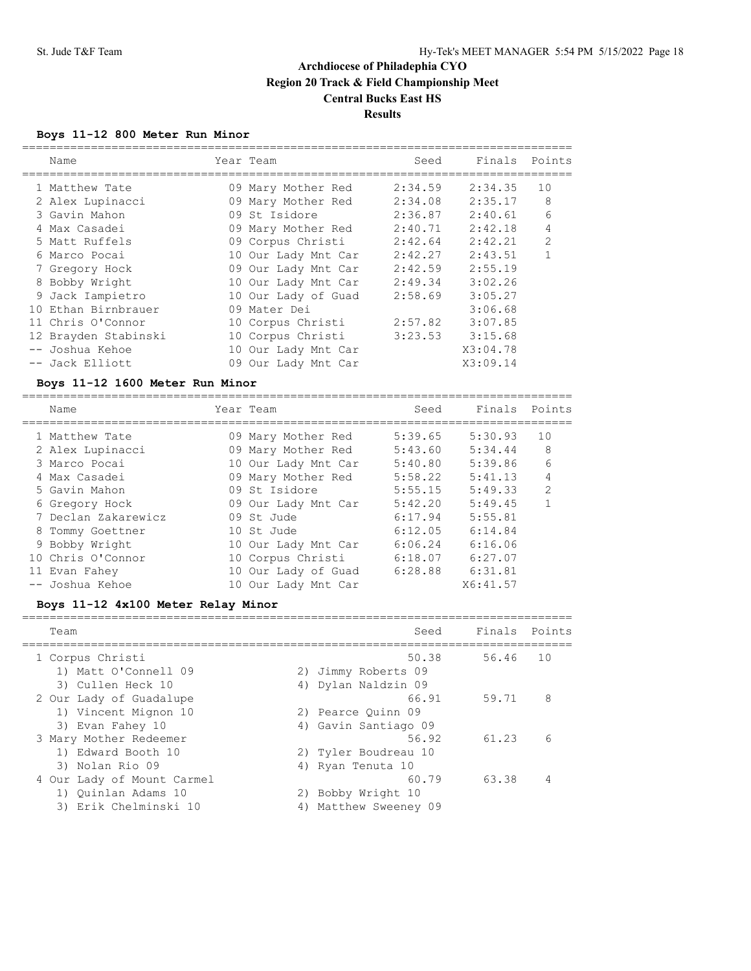## **Boys 11-12 800 Meter Run Minor**

| Name                 | Year Team           | Seed    | Finals Points |               |
|----------------------|---------------------|---------|---------------|---------------|
| 1 Matthew Tate       | 09 Mary Mother Red  | 2:34.59 | 2:34.35       | 10            |
| 2 Alex Lupinacci     | 09 Mary Mother Red  | 2:34.08 | 2:35.17       | 8             |
| 3 Gavin Mahon        | 09 St Isidore       | 2:36.87 | 2:40.61       | 6             |
| 4 Max Casadei        | 09 Mary Mother Red  | 2:40.71 | 2:42.18       | 4             |
| 5 Matt Ruffels       | 09 Corpus Christi   | 2:42.64 | 2:42.21       | $\mathcal{L}$ |
| 6 Marco Pocai        | 10 Our Lady Mnt Car | 2:42.27 | 2:43.51       |               |
| 7 Gregory Hock       | 09 Our Lady Mnt Car | 2:42.59 | 2:55.19       |               |
| 8 Bobby Wright       | 10 Our Lady Mnt Car | 2:49.34 | 3:02.26       |               |
| 9 Jack Iampietro     | 10 Our Lady of Guad | 2:58.69 | 3:05.27       |               |
| 10 Ethan Birnbrauer  | 09 Mater Dei        |         | 3:06.68       |               |
| 11 Chris O'Connor    | 10 Corpus Christi   | 2:57.82 | 3:07.85       |               |
| 12 Brayden Stabinski | 10 Corpus Christi   | 3:23.53 | 3:15.68       |               |
| -- Joshua Kehoe      | 10 Our Lady Mnt Car |         | X3:04.78      |               |
| -- Jack Elliott      | 09 Our Lady Mnt Car |         | X3:09.14      |               |
|                      |                     |         |               |               |

## **Boys 11-12 1600 Meter Run Minor**

| Name                | Year Team           | Seed    | Finals   | Points         |
|---------------------|---------------------|---------|----------|----------------|
| 1 Matthew Tate      | 09 Mary Mother Red  | 5:39.65 | 5:30.93  | 10             |
| 2 Alex Lupinacci    | 09 Mary Mother Red  | 5:43.60 | 5:34.44  | 8              |
| 3 Marco Pocai       | 10 Our Lady Mnt Car | 5:40.80 | 5:39.86  | 6              |
| 4 Max Casadei       | 09 Mary Mother Red  | 5:58.22 | 5:41.13  | 4              |
| 5 Gavin Mahon       | 09 St Isidore       | 5:55.15 | 5:49.33  | $\mathfrak{D}$ |
| 6 Gregory Hock      | 09 Our Lady Mnt Car | 5:42.20 | 5:49.45  |                |
| 7 Declan Zakarewicz | 09 St. Jude         | 6:17.94 | 5:55.81  |                |
| 8 Tommy Goettner    | 10 St. Jude         | 6:12.05 | 6:14.84  |                |
| 9 Bobby Wright      | 10 Our Lady Mnt Car | 6:06.24 | 6:16.06  |                |
| 10 Chris O'Connor   | 10 Corpus Christi   | 6:18.07 | 6:27.07  |                |
| 11 Evan Fahey       | 10 Our Lady of Guad | 6:28.88 | 6:31.81  |                |
| -- Joshua Kehoe     | 10 Our Lady Mnt Car |         | X6:41.57 |                |

## **Boys 11-12 4x100 Meter Relay Minor**

| Team                                              |    | Seed                                    | Finals | Points |
|---------------------------------------------------|----|-----------------------------------------|--------|--------|
| 1 Corpus Christi                                  |    | 50.38                                   | 56.46  | 1 O    |
| 1) Matt O'Connell 09<br>3) Cullen Heck 10         | 4) | 2) Jimmy Roberts 09<br>Dylan Naldzin 09 |        |        |
| 2 Our Lady of Guadalupe<br>1) Vincent Mignon 10   |    | 66.91<br>2) Pearce Ouinn 09             | 59.71  | 8      |
| 3) Evan Fahey 10<br>3 Mary Mother Redeemer        |    | 4) Gavin Santiago 09<br>56.92           | 61.23  | 6      |
| 1) Edward Booth 10<br>3) Nolan Rio 09             | 4) | 2) Tyler Boudreau 10<br>Ryan Tenuta 10  |        |        |
| 4 Our Lady of Mount Carmel<br>1) Ouinlan Adams 10 |    | 60.79<br>2) Bobby Wright 10             | 63.38  | 4      |
| 3) Erik Chelminski 10                             | 4) | Matthew Sweeney 09                      |        |        |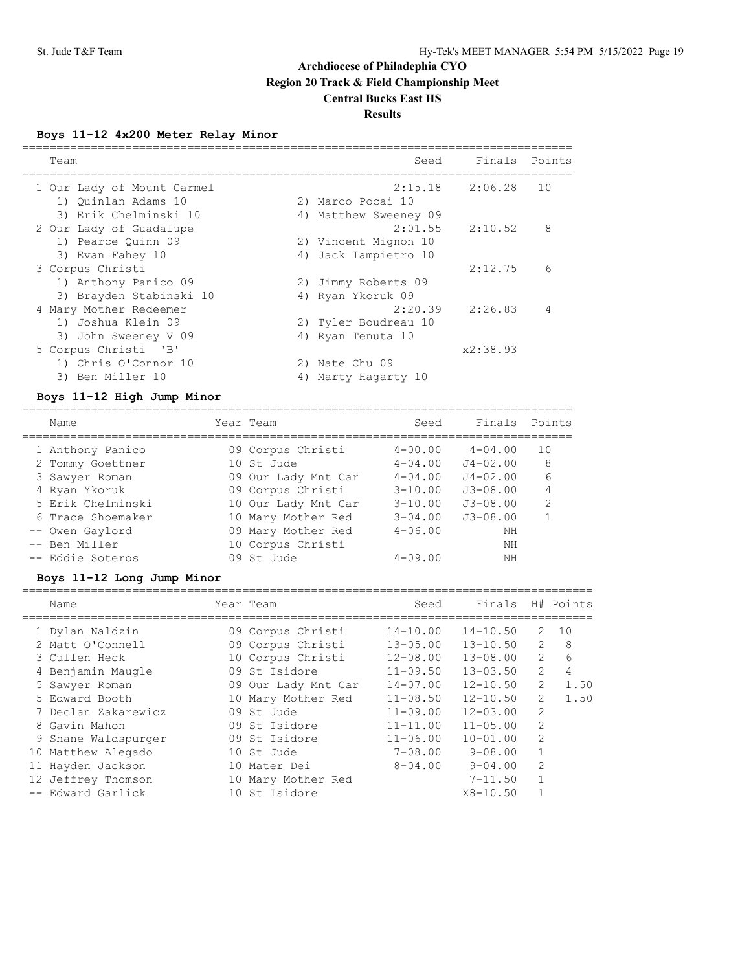## **Boys 11-12 4x200 Meter Relay Minor**

| Team                       |    | Seed                  | Finals Points |                |
|----------------------------|----|-----------------------|---------------|----------------|
|                            |    |                       |               |                |
| 1 Our Lady of Mount Carmel |    | 2:15.18               | 2:06.28       | 1 O            |
| 1) Ouinlan Adams 10        |    | 2) Marco Pocai 10     |               |                |
| 3) Erik Chelminski 10      |    | 4) Matthew Sweeney 09 |               |                |
| 2 Our Lady of Guadalupe    |    | 2:01.55               | 2:10.52       | 8              |
| 1) Pearce Ouinn 09         |    | 2) Vincent Mignon 10  |               |                |
| 3) Evan Fahey 10           |    | 4) Jack Iampietro 10  |               |                |
| 3 Corpus Christi           |    |                       | 2:12.75       | 6              |
| 1) Anthony Panico 09       |    | 2) Jimmy Roberts 09   |               |                |
| 3) Brayden Stabinski 10    |    | 4) Ryan Ykoruk 09     |               |                |
| 4 Mary Mother Redeemer     |    | 2:20.39               | 2:26.83       | $\overline{4}$ |
| 1) Joshua Klein 09         |    | 2) Tyler Boudreau 10  |               |                |
| 3) John Sweeney V 09       |    | 4) Ryan Tenuta 10     |               |                |
| 5 Corpus Christi 'B'       |    |                       | x2:38.93      |                |
| 1) Chris O'Connor 10       |    | 2) Nate Chu 09        |               |                |
| 3) Ben Miller 10           | 4) | Marty Hagarty 10      |               |                |

#### **Boys 11-12 High Jump Minor** ================================================================================

| Name              | Year Team           | Seed        | Finals       | Points        |
|-------------------|---------------------|-------------|--------------|---------------|
| 1 Anthony Panico  | 09 Corpus Christi   | $4 - 00.00$ | $4 - 04.00$  | 10            |
| 2 Tommy Goettner  | 10 St Jude          | $4 - 04.00$ | $J4 - 02.00$ | 8             |
| 3 Sawyer Roman    | 09 Our Lady Mnt Car | $4 - 04.00$ | $J4 - 02.00$ | 6             |
| 4 Ryan Ykoruk     | 09 Corpus Christi   | $3 - 10.00$ | $J3 - 08.00$ | 4             |
| 5 Erik Chelminski | 10 Our Lady Mnt Car | $3 - 10.00$ | $J3 - 08.00$ | $\mathcal{D}$ |
| 6 Trace Shoemaker | 10 Mary Mother Red  | $3 - 04.00$ | $J3 - 08.00$ |               |
| -- Owen Gaylord   | 09 Mary Mother Red  | $4 - 06.00$ | ΝH           |               |
| -- Ben Miller     | 10 Corpus Christi   |             | NΗ           |               |
| -- Eddie Soteros  | 09 St. Jude         | $4 - 09.00$ | NΗ           |               |

## **Boys 11-12 Long Jump Minor**

| Name                | Year Team           | Seed         | Finals       |               | H# Points |
|---------------------|---------------------|--------------|--------------|---------------|-----------|
| 1 Dylan Naldzin     | 09 Corpus Christi   | $14 - 10.00$ | $14 - 10.50$ | 2             | 10        |
| 2 Matt O'Connell    | 09 Corpus Christi   | $13 - 05.00$ | $13 - 10.50$ | 2             | -8        |
| 3 Cullen Heck       | 10 Corpus Christi   | $12 - 08.00$ | $13 - 08.00$ | $\mathcal{L}$ | 6         |
| 4 Benjamin Maugle   | 09 St. Isidore      | $11 - 09.50$ | $13 - 03.50$ | 2             | 4         |
| 5 Sawyer Roman      | 09 Our Lady Mnt Car | $14 - 07.00$ | $12 - 10.50$ | 2             | 1.50      |
| 5 Edward Booth      | 10 Mary Mother Red  | $11 - 08.50$ | $12 - 10.50$ | 2             | 1.50      |
| 7 Declan Zakarewicz | 09 St. Jude         | $11 - 09.00$ | $12 - 03.00$ | 2             |           |
| 8 Gavin Mahon       | 09 St Isidore       | $11 - 11.00$ | $11 - 05.00$ | 2             |           |
| 9 Shane Waldspurger | 09 St Isidore       | $11 - 06.00$ | $10 - 01.00$ | 2             |           |
| 10 Matthew Alegado  | 10 St Jude          | $7 - 08.00$  | $9 - 08.00$  |               |           |
| 11 Hayden Jackson   | 10 Mater Dei        | $8 - 04.00$  | $9 - 04.00$  | $\mathcal{L}$ |           |
| 12 Jeffrey Thomson  | 10 Mary Mother Red  |              | $7 - 11.50$  |               |           |
| -- Edward Garlick   | 10 St Isidore       |              | $X8 - 10.50$ |               |           |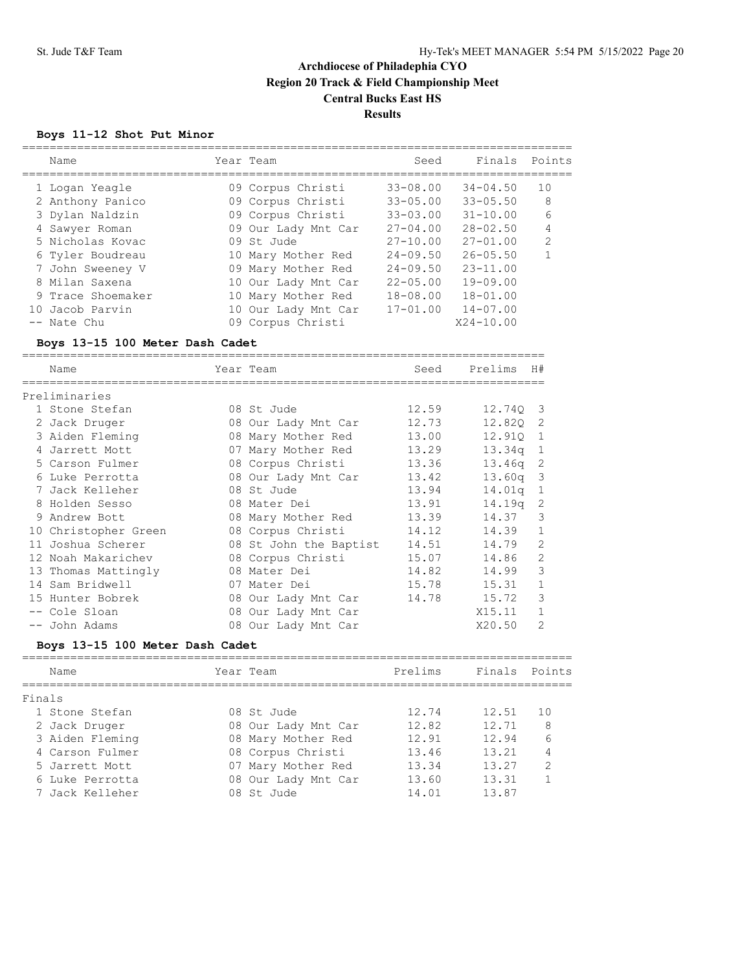### **Boys 11-12 Shot Put Minor**

| Name              | Year Team           | Seed         | Finals        | Points         |
|-------------------|---------------------|--------------|---------------|----------------|
| 1 Logan Yeagle    | 09 Corpus Christi   | $33 - 08.00$ | $34 - 04.50$  | 10             |
| 2 Anthony Panico  | 09 Corpus Christi   | $33 - 05.00$ | $33 - 05.50$  | 8              |
| 3 Dylan Naldzin   | 09 Corpus Christi   | $33 - 03.00$ | $31 - 10.00$  | 6              |
| 4 Sawyer Roman    | 09 Our Lady Mnt Car | $27 - 04.00$ | $28 - 02.50$  | 4              |
| 5 Nicholas Kovac  | 09 St. Jude         | $27 - 10.00$ | $27 - 01.00$  | $\mathfrak{D}$ |
| 6 Tyler Boudreau  | 10 Mary Mother Red  | $24 - 09.50$ | $26 - 05.50$  |                |
| 7 John Sweeney V  | 09 Mary Mother Red  | $24 - 09.50$ | $23 - 11.00$  |                |
| 8 Milan Saxena    | 10 Our Lady Mnt Car | $22 - 05.00$ | $19 - 09.00$  |                |
| 9 Trace Shoemaker | 10 Mary Mother Red  | $18 - 08.00$ | $18 - 01.00$  |                |
| 10 Jacob Parvin   | 10 Our Lady Mnt Car | $17 - 01.00$ | $14 - 07.00$  |                |
| -- Nate Chu       | 09 Corpus Christi   |              | $X24 - 10.00$ |                |

#### **Boys 13-15 100 Meter Dash Cadet**

============================================================================ Name  $Year$  Team Seed Prelims  $H#$ ============================================================================ Preliminaries 1 Stone Stefan 08 St Jude 12.59 12.74Q 3 2 Jack Druger 08 Our Lady Mnt Car 12.73 12.82Q 2 3 Aiden Fleming 08 Mary Mother Red 13.00 12.91Q 1 4 Jarrett Mott 07 Mary Mother Red 13.29 13.34q 1 5 Carson Fulmer 08 Corpus Christi 13.36 13.46q 2 6 Luke Perrotta 08 Our Lady Mnt Car 13.42 13.60q 3 7 Jack Kelleher 08 St Jude 13.94 14.01q 1 8 Holden Sesso 08 Mater Dei 13.91 14.19q 2 9 Andrew Bott 08 Mary Mother Red 13.39 14.37 3 10 Christopher Green 08 Corpus Christi 14.12 14.39 1 11 Joshua Scherer 08 St John the Baptist 14.51 14.79 2 12 Noah Makarichev 08 Corpus Christi 15.07 14.86 2 13 Thomas Mattingly 68 Mater Dei 14.82 14.99 3 14 Sam Bridwell 07 Mater Dei 15.78 15.31 1 15 Hunter Bobrek 08 Our Lady Mnt Car 14.78 15.72 3 -- Cole Sloan 08 Our Lady Mnt Car X15.11 1 -- John Adams 08 Our Lady Mnt Car X20.50 2

#### **Boys 13-15 100 Meter Dash Cadet**

| Name            | Year Team           | Prelims | Finals Points |               |
|-----------------|---------------------|---------|---------------|---------------|
| Finals          |                     |         |               |               |
| 1 Stone Stefan  | 08 St. Jude         | 12.74   | 12.51         | 1 O           |
| 2 Jack Druger   | 08 Our Lady Mnt Car | 12.82   | 12.71         | 8             |
| 3 Aiden Fleming | 08 Mary Mother Red  | 12.91   | 12.94         | 6             |
| 4 Carson Fulmer | 08 Corpus Christi   | 13.46   | 13.21         | 4             |
| 5 Jarrett Mott  | 07 Mary Mother Red  | 13.34   | 13.27         | $\mathcal{D}$ |
| 6 Luke Perrotta | 08 Our Lady Mnt Car | 13.60   | 13.31         |               |
| 7 Jack Kelleher | 08 St. Jude         | 14.01   | 13.87         |               |
|                 |                     |         |               |               |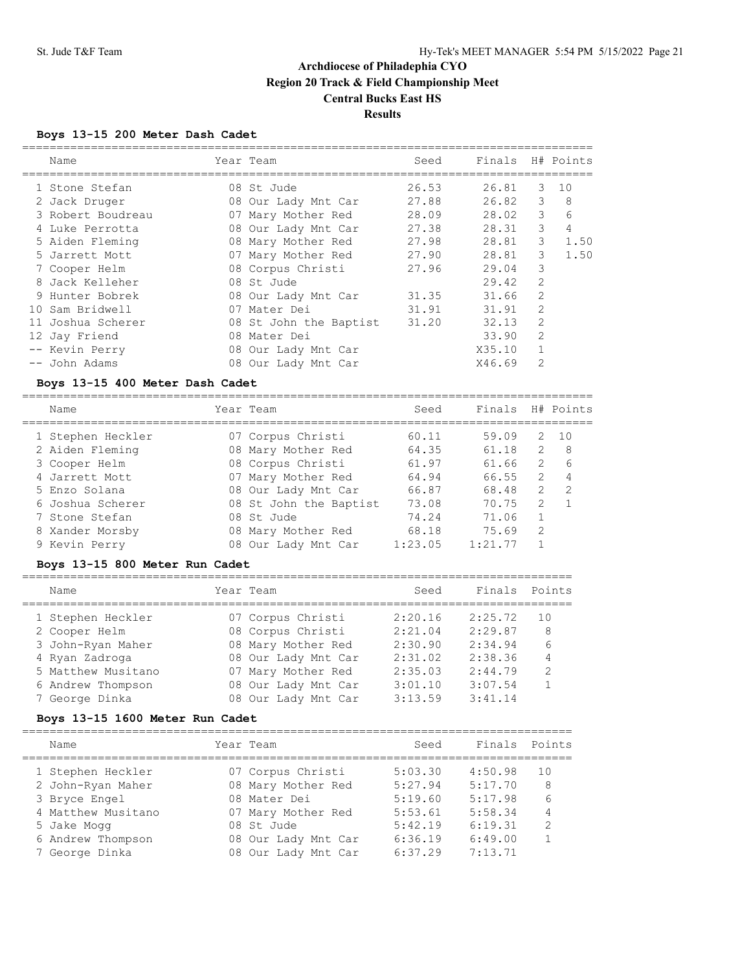## **Boys 13-15 200 Meter Dash Cadet**

|                                 | Name              |  | Year Team                      | Seed  | Finals H# Points |                |                |
|---------------------------------|-------------------|--|--------------------------------|-------|------------------|----------------|----------------|
|                                 | 1 Stone Stefan    |  | 08 St Jude                     | 26.53 | 26.81            | 3              | 10             |
|                                 | 2 Jack Druger     |  | 08 Our Lady Mnt Car 27.88      |       | 26.82            | 3              | 8              |
|                                 | 3 Robert Boudreau |  | 07 Mary Mother Red             | 28.09 | 28.02            | 3              | 6              |
|                                 | 4 Luke Perrotta   |  | 08 Our Lady Mnt Car 27.38      |       | 28.31            | $\mathcal{S}$  | $\overline{4}$ |
|                                 | 5 Aiden Fleming   |  | 08 Mary Mother Red 27.98       |       | 28.81            | 3              | 1.50           |
|                                 | 5 Jarrett Mott    |  | 07 Mary Mother Red 27.90       |       | 28.81            | 3              | 1.50           |
|                                 | 7 Cooper Helm     |  | 08 Corpus Christi              | 27.96 | 29.04            | 3              |                |
|                                 | 8 Jack Kelleher   |  | 08 St. Jude                    |       | 29.42            | $\overline{2}$ |                |
|                                 | 9 Hunter Bobrek   |  | 08 Our Lady Mnt Car 31.35      |       | 31.66            | $\overline{2}$ |                |
|                                 | 10 Sam Bridwell   |  | 07 Mater Dei                   | 31.91 | 31.91            | $\overline{2}$ |                |
|                                 | 11 Joshua Scherer |  | 08 St John the Baptist 31.20   |       | 32.13            | $\overline{2}$ |                |
|                                 | 12 Jay Friend     |  | 08 Mater Dei                   |       | 33.90            | $\overline{2}$ |                |
|                                 | -- Kevin Perry    |  | 08 Our Lady Mnt Car            |       | X35.10           | $\mathbf{1}$   |                |
|                                 | -- John Adams     |  | 08 Our Lady Mnt Car            |       | X46.69           | $\overline{2}$ |                |
| Boys 13-15 400 Meter Dash Cadet |                   |  |                                |       |                  |                |                |
|                                 | Name              |  | Year Team                      | Seed  | Finals           |                | H# Points      |
|                                 | 1 Stephen Heckler |  | 07 Corpus Christi              | 60.11 | 59.09            | $\mathcal{L}$  | 10             |
|                                 | 2 Aiden Fleming   |  | 08 Mary Mother Red 64.35 61.18 |       |                  | $\mathbf{2}$   | $_{\rm 8}$     |
|                                 | 3 Cooper Helm     |  | 08 Corpus Christi              | 61.97 | 61.66            | $\overline{2}$ | 6              |
|                                 | 4 Jarrett Mott    |  | 07 Mary Mother Red 64.94       |       | 66.55            | $\overline{2}$ | $\overline{4}$ |
|                                 | 5 Enzo Solana     |  | 08 Our Lady Mnt Car 66.87      |       | 68.48            | $\mathbf{2}$   | $\overline{c}$ |
|                                 | 6 Joshua Scherer  |  | 08 St John the Baptist 73.08   |       | 70.75            | $\overline{2}$ | $\mathbf{1}$   |
|                                 | 7 Stone Stefan    |  | 08 St Jude                     | 74.24 | 71.06            | $\mathbf{1}$   |                |
|                                 | 8 Xander Morsby   |  | 08 Mary Mother Red 68.18       |       | 75.69            | $\overline{2}$ |                |
|                                 | 9 Kevin Perry     |  | 08 Our Lady Mnt Car 1:23.05    |       | 1:21.77          | $\mathbf{1}$   |                |
|                                 |                   |  |                                |       |                  |                |                |

### **Boys 13-15 800 Meter Run Cadet**

| Name               | Year Team           | Seed    | Finals  | Points        |
|--------------------|---------------------|---------|---------|---------------|
| 1 Stephen Heckler  | 07 Corpus Christi   | 2:20.16 | 2:25.72 | 10            |
| 2 Cooper Helm      | 08 Corpus Christi   | 2:21.04 | 2:29.87 | 8             |
| 3 John-Ryan Maher  | 08 Mary Mother Red  | 2:30.90 | 2:34.94 | 6             |
| 4 Ryan Zadroga     | 08 Our Lady Mnt Car | 2:31.02 | 2:38.36 | 4             |
| 5 Matthew Musitano | 07 Mary Mother Red  | 2:35.03 | 2:44.79 | $\mathcal{P}$ |
| 6 Andrew Thompson  | 08 Our Lady Mnt Car | 3:01.10 | 3:07.54 |               |
| 7 George Dinka     | 08 Our Lady Mnt Car | 3:13.59 | 3:41.14 |               |

### **Boys 13-15 1600 Meter Run Cadet**

| Name               | Year Team           | Seed    | Finals Points |               |
|--------------------|---------------------|---------|---------------|---------------|
| 1 Stephen Heckler  | 07 Corpus Christi   | 5:03.30 | 4:50.98       | 1 O           |
| 2 John-Ryan Maher  | 08 Mary Mother Red  | 5:27.94 | 5:17.70       | 8             |
| 3 Bryce Engel      | 08 Mater Dei        | 5:19.60 | 5:17.98       | 6             |
| 4 Matthew Musitano | 07 Mary Mother Red  | 5:53.61 | 5:58.34       | 4             |
| 5 Jake Mogg        | 08 St Jude          | 5:42.19 | 6:19.31       | $\mathcal{P}$ |
| 6 Andrew Thompson  | 08 Our Lady Mnt Car | 6:36.19 | 6:49.00       |               |
| 7 George Dinka     | 08 Our Lady Mnt Car | 6:37.29 | 7:13.71       |               |
|                    |                     |         |               |               |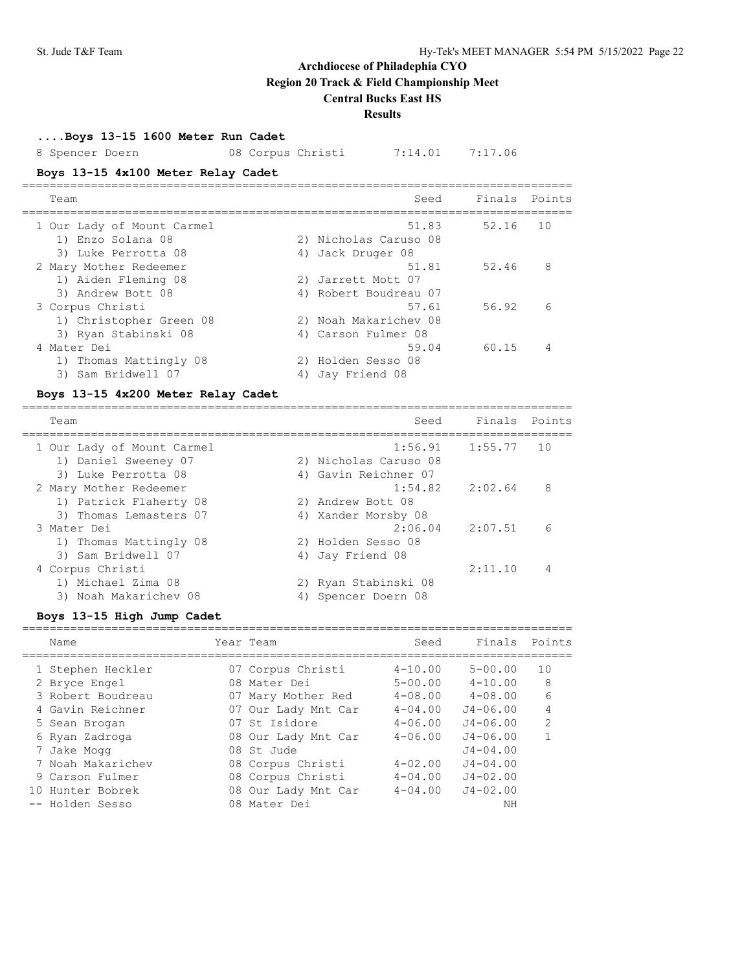# **Archdiocese of Philadephia CYO Region 20 Track & Field Championship Meet**

# **Central Bucks East HS**

## **Results**

**....Boys 13-15 1600 Meter Run Cadet**

8 Spencer Doern 08 Corpus Christi 7:14.01 7:17.06

## **Boys 13-15 4x100 Meter Relay Cadet**

| Team                       | Seed                  | Finals Points |    |
|----------------------------|-----------------------|---------------|----|
| 1 Our Lady of Mount Carmel | 51.83                 | 52.16         | 10 |
| 1) Enzo Solana 08          | 2) Nicholas Caruso 08 |               |    |
| 3) Luke Perrotta 08        | 4) Jack Druger 08     |               |    |
| 2 Mary Mother Redeemer     | 51.81                 | 52.46         | 8  |
| 1) Aiden Fleming 08        | 2) Jarrett Mott 07    |               |    |
| 3) Andrew Bott 08          | 4) Robert Boudreau 07 |               |    |
| 3 Corpus Christi           | 57.61                 | 56.92         | 6  |
| 1) Christopher Green 08    | 2) Noah Makarichev 08 |               |    |
| 3) Ryan Stabinski 08       | 4) Carson Fulmer 08   |               |    |
| 4 Mater Dei                | 59.04                 | 60.15         |    |
| 1) Thomas Mattingly 08     | 2) Holden Sesso 08    |               |    |
| 3) Sam Bridwell 07         | 4) Jay Friend 08      |               |    |

## **Boys 13-15 4x200 Meter Relay Cadet**

| Team                                        | Seed                              | Finals Points |                |
|---------------------------------------------|-----------------------------------|---------------|----------------|
| 1 Our Lady of Mount Carmel                  | 1:56.91<br>2) Nicholas Caruso 08  | 1:55.77       | 10             |
| 1) Daniel Sweeney 07<br>3) Luke Perrotta 08 | 4) Gavin Reichner 07              |               |                |
| 2 Mary Mother Redeemer                      | 1:54.82                           | 2:02.64       | 8              |
| 1) Patrick Flaherty 08                      | 2) Andrew Bott 08                 |               |                |
| 3) Thomas Lemasters 07<br>3 Mater Dei       | Xander Morsby 08<br>4)<br>2:06.04 | 2:07.51       | 6              |
| 1) Thomas Mattingly 08                      | 2) Holden Sesso 08                |               |                |
| 3) Sam Bridwell 07                          | 4) Jay Friend 08                  |               |                |
| 4 Corpus Christi                            |                                   | 2:11.10       | $\overline{4}$ |
| 1) Michael Zima 08                          | 2) Ryan Stabinski 08              |               |                |
| 3) Noah Makarichev 08                       | Spencer Doern 08                  |               |                |

## **Boys 13-15 High Jump Cadet**

|     | Name              | Year Team           | Seed        | Finals       | Points         |
|-----|-------------------|---------------------|-------------|--------------|----------------|
|     | 1 Stephen Heckler | 07 Corpus Christi   | $4 - 10.00$ | $5 - 00.00$  | 10             |
|     | 2 Bryce Engel     | 08 Mater Dei        | $5 - 00.00$ | $4 - 10.00$  | 8              |
|     | 3 Robert Boudreau | 07 Mary Mother Red  | $4 - 08.00$ | $4 - 08.00$  | 6              |
|     | 4 Gavin Reichner  | 07 Our Lady Mnt Car | $4 - 04.00$ | $J4 - 06.00$ | 4              |
|     | 5 Sean Brogan     | 07 St Isidore       | $4 - 06.00$ | $J4 - 06.00$ | $\mathfrak{D}$ |
|     | 6 Ryan Zadroga    | 08 Our Lady Mnt Car | $4 - 06.00$ | $J4 - 06.00$ |                |
|     | 7 Jake Mogg       | 08 St. Jude         |             | $J4 - 04.00$ |                |
|     | 7 Noah Makarichev | 08 Corpus Christi   | $4 - 02.00$ | $J4 - 04.00$ |                |
|     | 9 Carson Fulmer   | 08 Corpus Christi   | $4 - 04.00$ | $J4 - 02.00$ |                |
| 1 N | Hunter Bobrek     | 08 Our Lady Mnt Car | $4 - 04.00$ | $J4 - 02.00$ |                |
|     | -- Holden Sesso   | 08 Mater Dei        |             | NΗ           |                |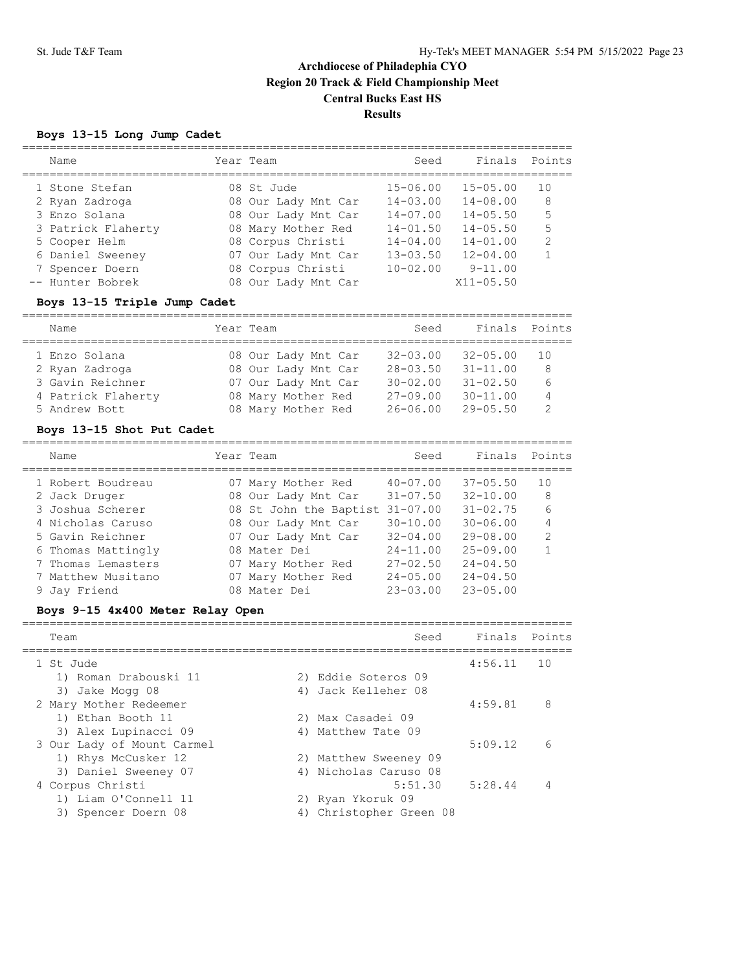## **Boys 13-15 Long Jump Cadet**

| Name               | Year Team           | Seed         | Finals        | Points        |
|--------------------|---------------------|--------------|---------------|---------------|
| 1 Stone Stefan     | 08 St Jude          | $15 - 06.00$ | $15 - 05.00$  | 10            |
| 2 Ryan Zadroga     | 08 Our Lady Mnt Car | $14 - 03.00$ | $14 - 08.00$  | 8             |
| 3 Enzo Solana      | 08 Our Lady Mnt Car | $14 - 07.00$ | $14 - 05.50$  | 5             |
| 3 Patrick Flaherty | 08 Mary Mother Red  | $14 - 01.50$ | $14 - 05.50$  | 5             |
| 5 Cooper Helm      | 08 Corpus Christi   | $14 - 04.00$ | $14 - 01.00$  | $\mathcal{L}$ |
| 6 Daniel Sweeney   | 07 Our Lady Mnt Car | $13 - 03.50$ | $12 - 04.00$  | 1             |
| 7 Spencer Doern    | 08 Corpus Christi   | $10 - 02.00$ | $9 - 11.00$   |               |
| -- Hunter Bobrek   | 08 Our Lady Mnt Car |              | $X11 - 05.50$ |               |
|                    |                     |              |               |               |

## **Boys 13-15 Triple Jump Cadet**

| Name               | Year Team           | Seed         | Finals Points |               |
|--------------------|---------------------|--------------|---------------|---------------|
| 1 Enzo Solana      | 08 Our Lady Mnt Car | $32 - 03.00$ | $32 - 05.00$  | 1 O           |
|                    |                     |              |               |               |
| 2 Ryan Zadroga     | 08 Our Lady Mnt Car | $28 - 03.50$ | $31 - 11.00$  | 8             |
| 3 Gavin Reichner   | 07 Our Lady Mnt Car | $30 - 02.00$ | $31 - 02.50$  | 6             |
| 4 Patrick Flaherty | 08 Mary Mother Red  | $27 - 09.00$ | $30 - 11.00$  | 4             |
| 5 Andrew Bott      | 08 Mary Mother Red  | $26 - 06.00$ | $29 - 05.50$  | $\mathcal{P}$ |

#### **Boys 13-15 Shot Put Cadet**

|  | Name               | Year Team                       | Seed         | Finals       | Points         |
|--|--------------------|---------------------------------|--------------|--------------|----------------|
|  | 1 Robert Boudreau  | 07 Mary Mother Red              | $40 - 07.00$ | $37 - 05.50$ | 10             |
|  | 2 Jack Druger      | 08 Our Lady Mnt Car             | $31 - 07.50$ | $32 - 10.00$ | 8              |
|  | 3 Joshua Scherer   | 08 St John the Baptist 31-07.00 |              | $31 - 02.75$ | 6              |
|  | 4 Nicholas Caruso  | 08 Our Lady Mnt Car             | $30 - 10.00$ | $30 - 06.00$ | 4              |
|  | 5 Gavin Reichner   | 07 Our Lady Mnt Car             | $32 - 04.00$ | $29 - 08.00$ | $\mathfrak{D}$ |
|  | 6 Thomas Mattingly | 08 Mater Dei                    | $24 - 11.00$ | $25 - 09.00$ |                |
|  | 7 Thomas Lemasters | 07 Mary Mother Red              | $27 - 02.50$ | $24 - 04.50$ |                |
|  | 7 Matthew Musitano | Mary Mother Red                 | $24 - 05.00$ | $24 - 04.50$ |                |
|  | 9 Jay Friend       | 08 Mater Dei                    | $23 - 03.00$ | $23 - 05.00$ |                |
|  |                    |                                 |              |              |                |

## **Boys 9-15 4x400 Meter Relay Open**

| Team                       |    | Seed                  | Finals Points |     |
|----------------------------|----|-----------------------|---------------|-----|
| 1 St Jude                  |    |                       | 4:56.11       | 1 O |
| 1) Roman Drabouski 11      |    | 2) Eddie Soteros 09   |               |     |
| 3) Jake Mogg 08            |    | 4) Jack Kelleher 08   |               |     |
| 2 Mary Mother Redeemer     |    |                       | 4:59.81       | 8   |
| 1) Ethan Booth 11          |    | 2) Max Casadei 09     |               |     |
| 3) Alex Lupinacci 09       |    | 4) Matthew Tate 09    |               |     |
| 3 Our Lady of Mount Carmel |    |                       | 5:09.12       | 6   |
| 1) Rhys McCusker 12        |    | 2) Matthew Sweeney 09 |               |     |
| 3) Daniel Sweeney 07       |    | 4) Nicholas Caruso 08 |               |     |
| 4 Corpus Christi           |    | 5:51.30               | 5:28.44       | 4   |
| 1) Liam O'Connell 11       |    | 2) Ryan Ykoruk 09     |               |     |
| 3) Spencer Doern 08        | 4) | Christopher Green 08  |               |     |